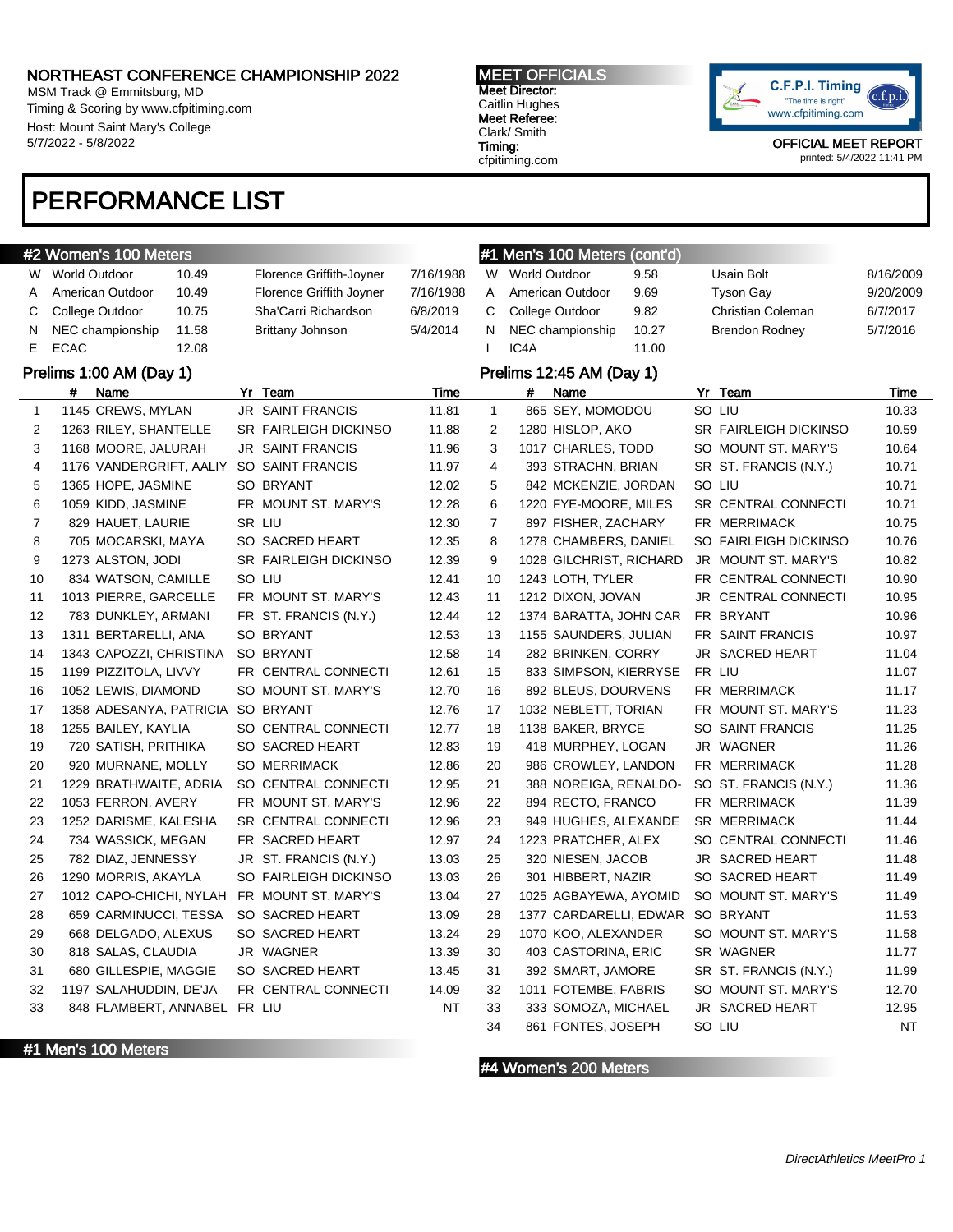MSM Track @ Emmitsburg, MD Timing & Scoring by www.cfpitiming.com Host: Mount Saint Mary's College 5/7/2022 - 5/8/2022

#### MEET OFFICIALS Meet Director:

Caitlin Hughes Meet Referee: Clark/ Smith Timing: cfpitiming.com



OFFICIAL MEET REPORT printed: 5/4/2022 11:41 PM

# PERFORMANCE LIST

|                | #2 Women's 100 Meters        |                              |           |                | #1 Men's 100 Meters (cont'd) |       |                       |           |
|----------------|------------------------------|------------------------------|-----------|----------------|------------------------------|-------|-----------------------|-----------|
|                | W World Outdoor<br>10.49     | Florence Griffith-Joyner     | 7/16/1988 |                | W World Outdoor              | 9.58  | Usain Bolt            | 8/16/2009 |
| A              | American Outdoor<br>10.49    | Florence Griffith Joyner     | 7/16/1988 | A              | American Outdoor             | 9.69  | <b>Tyson Gay</b>      | 9/20/2009 |
| С              | College Outdoor<br>10.75     | Sha'Carri Richardson         | 6/8/2019  | С              | College Outdoor              | 9.82  | Christian Coleman     | 6/7/2017  |
| N              | NEC championship<br>11.58    | <b>Brittany Johnson</b>      | 5/4/2014  | N              | NEC championship             | 10.27 | <b>Brendon Rodney</b> | 5/7/2016  |
| E              | <b>ECAC</b><br>12.08         |                              |           | $\mathbf{I}$   | IC4A                         | 11.00 |                       |           |
|                | Prelims 1:00 AM (Day 1)      |                              |           |                | Prelims 12:45 AM (Day 1)     |       |                       |           |
|                | Name<br>#                    | Yr Team                      | Time      |                | #<br>Name                    |       | Yr Team               | Time      |
| $\mathbf{1}$   | 1145 CREWS, MYLAN            | <b>JR SAINT FRANCIS</b>      | 11.81     | $\mathbf{1}$   | 865 SEY, MOMODOU             |       | SO LIU                | 10.33     |
| $\overline{2}$ | 1263 RILEY, SHANTELLE        | <b>SR FAIRLEIGH DICKINSO</b> | 11.88     | 2              | 1280 HISLOP, AKO             |       | SR FAIRLEIGH DICKINSO | 10.59     |
| 3              | 1168 MOORE, JALURAH          | <b>JR SAINT FRANCIS</b>      | 11.96     | 3              | 1017 CHARLES, TODD           |       | SO MOUNT ST. MARY'S   | 10.64     |
| 4              | 1176 VANDERGRIFT, AALIY      | SO SAINT FRANCIS             | 11.97     | 4              | 393 STRACHN, BRIAN           |       | SR ST. FRANCIS (N.Y.) | 10.71     |
| 5              | 1365 HOPE, JASMINE           | SO BRYANT                    | 12.02     | 5              | 842 MCKENZIE, JORDAN         |       | SO LIU                | 10.71     |
| 6              | 1059 KIDD, JASMINE           | FR MOUNT ST. MARY'S          | 12.28     | 6              | 1220 FYE-MOORE, MILES        |       | SR CENTRAL CONNECTI   | 10.71     |
| 7              | 829 HAUET, LAURIE            | SR LIU                       | 12.30     | $\overline{7}$ | 897 FISHER, ZACHARY          |       | FR MERRIMACK          | 10.75     |
| 8              | 705 MOCARSKI, MAYA           | SO SACRED HEART              | 12.35     | 8              | 1278 CHAMBERS, DANIEL        |       | SO FAIRLEIGH DICKINSO | 10.76     |
| 9              | 1273 ALSTON, JODI            | SR FAIRLEIGH DICKINSO        | 12.39     | 9              | 1028 GILCHRIST, RICHARD      |       | JR MOUNT ST. MARY'S   | 10.82     |
| 10             | 834 WATSON, CAMILLE          | SO LIU                       | 12.41     | 10             | 1243 LOTH, TYLER             |       | FR CENTRAL CONNECTI   | 10.90     |
| 11             | 1013 PIERRE, GARCELLE        | FR MOUNT ST. MARY'S          | 12.43     | 11             | 1212 DIXON, JOVAN            |       | JR CENTRAL CONNECTI   | 10.95     |
| 12             | 783 DUNKLEY, ARMANI          | FR ST. FRANCIS (N.Y.)        | 12.44     | 12             | 1374 BARATTA, JOHN CAR       |       | FR BRYANT             | 10.96     |
| 13             | 1311 BERTARELLI, ANA         | SO BRYANT                    | 12.53     | 13             | 1155 SAUNDERS, JULIAN        |       | FR SAINT FRANCIS      | 10.97     |
| 14             | 1343 CAPOZZI, CHRISTINA      | SO BRYANT                    | 12.58     | 14             | 282 BRINKEN, CORRY           |       | JR SACRED HEART       | 11.04     |
| 15             | 1199 PIZZITOLA, LIVVY        | FR CENTRAL CONNECTI          | 12.61     | 15             | 833 SIMPSON, KIERRYSE        |       | FR LIU                | 11.07     |
| 16             | 1052 LEWIS, DIAMOND          | SO MOUNT ST. MARY'S          | 12.70     | 16             | 892 BLEUS, DOURVENS          |       | FR MERRIMACK          | 11.17     |
| 17             | 1358 ADESANYA, PATRICIA      | SO BRYANT                    | 12.76     | 17             | 1032 NEBLETT, TORIAN         |       | FR MOUNT ST. MARY'S   | 11.23     |
| 18             | 1255 BAILEY, KAYLIA          | SO CENTRAL CONNECTI          | 12.77     | 18             | 1138 BAKER, BRYCE            |       | SO SAINT FRANCIS      | 11.25     |
| 19             | 720 SATISH, PRITHIKA         | SO SACRED HEART              | 12.83     | 19             | 418 MURPHEY, LOGAN           |       | JR WAGNER             | 11.26     |
| 20             | 920 MURNANE, MOLLY           | <b>SO MERRIMACK</b>          | 12.86     | 20             | 986 CROWLEY, LANDON          |       | FR MERRIMACK          | 11.28     |
| 21             | 1229 BRATHWAITE, ADRIA       | SO CENTRAL CONNECTI          | 12.95     | 21             | 388 NOREIGA, RENALDO-        |       | SO ST. FRANCIS (N.Y.) | 11.36     |
| 22             | 1053 FERRON, AVERY           | FR MOUNT ST. MARY'S          | 12.96     | 22             | 894 RECTO, FRANCO            |       | FR MERRIMACK          | 11.39     |
| 23             | 1252 DARISME, KALESHA        | SR CENTRAL CONNECTI          | 12.96     | 23             | 949 HUGHES, ALEXANDE         |       | <b>SR MERRIMACK</b>   | 11.44     |
| 24             | 734 WASSICK, MEGAN           | FR SACRED HEART              | 12.97     | 24             | 1223 PRATCHER, ALEX          |       | SO CENTRAL CONNECTI   | 11.46     |
| 25             | 782 DIAZ, JENNESSY           | JR ST. FRANCIS (N.Y.)        | 13.03     | 25             | 320 NIESEN, JACOB            |       | JR SACRED HEART       | 11.48     |
| 26             | 1290 MORRIS, AKAYLA          | SO FAIRLEIGH DICKINSO        | 13.03     | 26             | 301 HIBBERT, NAZIR           |       | SO SACRED HEART       | 11.49     |
| 27             | 1012 CAPO-CHICHI, NYLAH      | FR MOUNT ST. MARY'S          | 13.04     | 27             | 1025 AGBAYEWA, AYOMID        |       | SO MOUNT ST. MARY'S   | 11.49     |
| 28             | 659 CARMINUCCI, TESSA        | SO SACRED HEART              | 13.09     | 28             | 1377 CARDARELLI, EDWAR       |       | SO BRYANT             | 11.53     |
| 29             | 668 DELGADO, ALEXUS          | SO SACRED HEART              | 13.24     | 29             | 1070 KOO, ALEXANDER          |       | SO MOUNT ST. MARY'S   | 11.58     |
| 30             | 818 SALAS, CLAUDIA           | JR WAGNER                    | 13.39     | 30             | 403 CASTORINA, ERIC          |       | SR WAGNER             | 11.77     |
| 31             | 680 GILLESPIE, MAGGIE        | SO SACRED HEART              | 13.45     | 31             | 392 SMART, JAMORE            |       | SR ST. FRANCIS (N.Y.) | 11.99     |
| 32             | 1197 SALAHUDDIN, DE'JA       | FR CENTRAL CONNECTI          | 14.09     | 32             | 1011 FOTEMBE, FABRIS         |       | SO MOUNT ST. MARY'S   | 12.70     |
| 33             | 848 FLAMBERT, ANNABEL FR LIU |                              | <b>NT</b> | 33             | 333 SOMOZA, MICHAEL          |       | JR SACRED HEART       | 12.95     |
|                |                              |                              |           | 34             | 861 FONTES, JOSEPH           |       | SO LIU                | <b>NT</b> |

#1 Men's 100 Meters

#4 Women's 200 Meters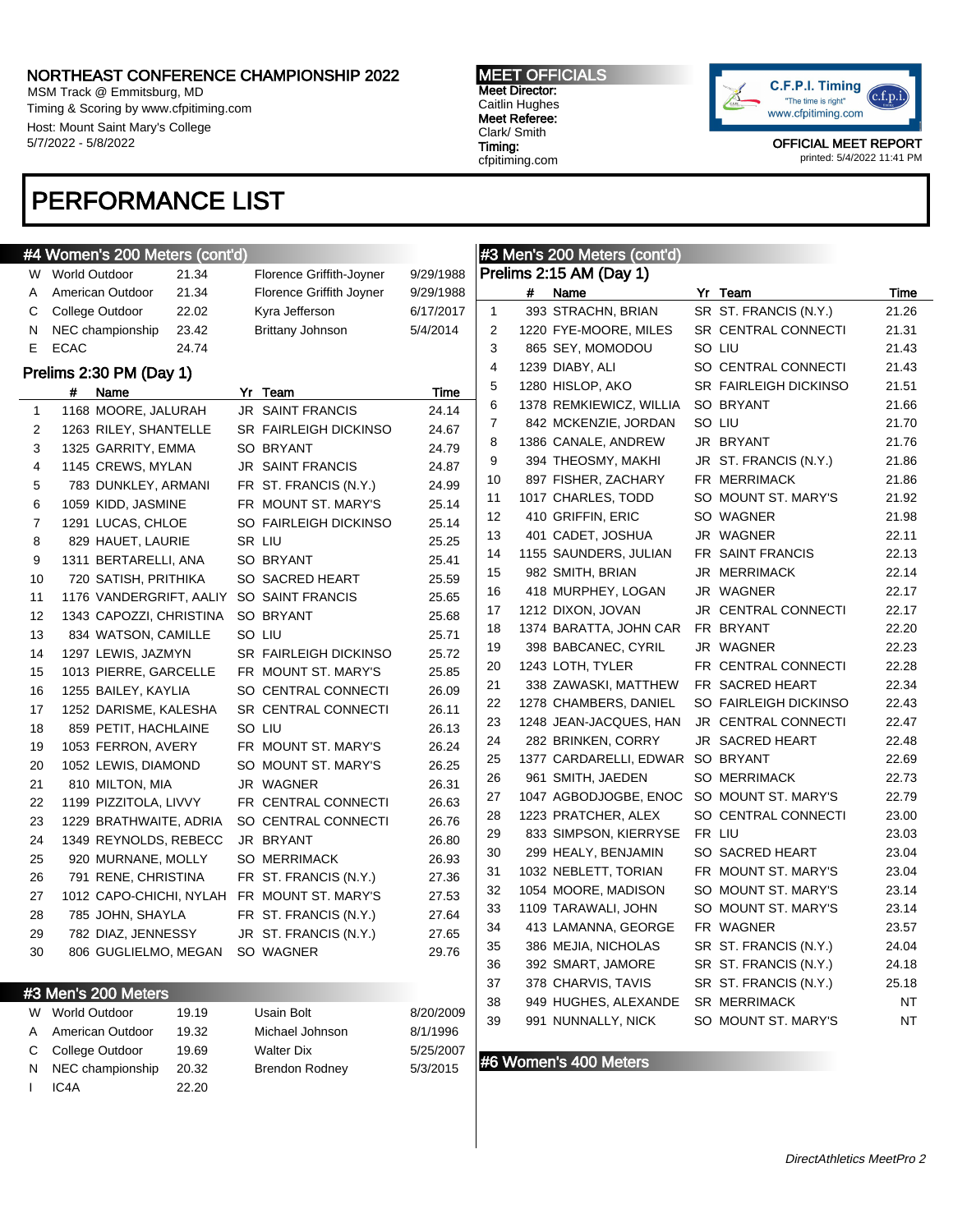N NEC championship 20.32 Brendon Rodney 5/3/2015

I IC4A 22.20

MSM Track @ Emmitsburg, MD Timing & Scoring by www.cfpitiming.com Host: Mount Saint Mary's College 5/7/2022 - 5/8/2022

### MEET OFFICIALS Meet Director:

Caitlin Hughes Meet Referee: Clark/ Smith Timing: cfpitiming.com



OFFICIAL MEET REPORT printed: 5/4/2022 11:41 PM

# PERFORMANCE LIST

|    | #4 Women's 200 Meters (cont'd) |       |                              |           |                |   | #3 Men's 200 Meters (cont'd)     |                              |           |
|----|--------------------------------|-------|------------------------------|-----------|----------------|---|----------------------------------|------------------------------|-----------|
|    | W World Outdoor                | 21.34 | Florence Griffith-Joyner     | 9/29/1988 |                |   | Prelims 2:15 AM (Day 1)          |                              |           |
| A  | American Outdoor               | 21.34 | Florence Griffith Joyner     | 9/29/1988 |                | # | Name                             | Yr Team                      | Time      |
| С  | College Outdoor                | 22.02 | Kyra Jefferson               | 6/17/2017 | $\mathbf{1}$   |   | 393 STRACHN, BRIAN               | SR ST. FRANCIS (N.Y.)        | 21.26     |
| N  | NEC championship               | 23.42 | Brittany Johnson             | 5/4/2014  | 2              |   | 1220 FYE-MOORE, MILES            | SR CENTRAL CONNECTI          | 21.31     |
| Е  | <b>ECAC</b>                    | 24.74 |                              |           | 3              |   | 865 SEY, MOMODOU                 | SO LIU                       | 21.43     |
|    | Prelims 2:30 PM (Day 1)        |       |                              |           | $\overline{4}$ |   | 1239 DIABY, ALI                  | SO CENTRAL CONNECTI          | 21.43     |
|    | #<br>Name                      |       | Yr Team                      | Time      | 5              |   | 1280 HISLOP, AKO                 | <b>SR FAIRLEIGH DICKINSO</b> | 21.51     |
| 1  | 1168 MOORE, JALURAH            |       | <b>JR SAINT FRANCIS</b>      | 24.14     | 6              |   | 1378 REMKIEWICZ, WILLIA          | SO BRYANT                    | 21.66     |
| 2  | 1263 RILEY, SHANTELLE          |       | <b>SR FAIRLEIGH DICKINSO</b> | 24.67     | $\overline{7}$ |   | 842 MCKENZIE, JORDAN             | SO LIU                       | 21.70     |
| 3  | 1325 GARRITY, EMMA             |       | <b>SO BRYANT</b>             | 24.79     | 8              |   | 1386 CANALE, ANDREW              | JR BRYANT                    | 21.76     |
| 4  | 1145 CREWS, MYLAN              |       | <b>JR SAINT FRANCIS</b>      | 24.87     | 9              |   | 394 THEOSMY, MAKHI               | JR ST. FRANCIS (N.Y.)        | 21.86     |
| 5  | 783 DUNKLEY, ARMANI            |       | FR ST. FRANCIS (N.Y.)        | 24.99     | 10             |   | 897 FISHER, ZACHARY              | FR MERRIMACK                 | 21.86     |
| 6  | 1059 KIDD, JASMINE             |       | FR MOUNT ST. MARY'S          | 25.14     | 11             |   | 1017 CHARLES, TODD               | SO MOUNT ST. MARY'S          | 21.92     |
| 7  | 1291 LUCAS, CHLOE              |       | SO FAIRLEIGH DICKINSO        | 25.14     | 12             |   | 410 GRIFFIN, ERIC                | SO WAGNER                    | 21.98     |
| 8  | 829 HAUET, LAURIE              |       | SR LIU                       | 25.25     | 13             |   | 401 CADET, JOSHUA                | JR WAGNER                    | 22.11     |
| 9  | 1311 BERTARELLI, ANA           |       | SO BRYANT                    | 25.41     | 14             |   | 1155 SAUNDERS, JULIAN            | FR SAINT FRANCIS             | 22.13     |
| 10 | 720 SATISH, PRITHIKA           |       | SO SACRED HEART              | 25.59     | 15             |   | 982 SMITH, BRIAN                 | JR MERRIMACK                 | 22.14     |
| 11 | 1176 VANDERGRIFT, AALIY        |       | SO SAINT FRANCIS             | 25.65     | 16             |   | 418 MURPHEY, LOGAN               | JR WAGNER                    | 22.17     |
| 12 | 1343 CAPOZZI, CHRISTINA        |       | <b>SO BRYANT</b>             | 25.68     | 17             |   | 1212 DIXON, JOVAN                | JR CENTRAL CONNECTI          | 22.17     |
| 13 | 834 WATSON, CAMILLE            |       | SO LIU                       | 25.71     | 18             |   | 1374 BARATTA, JOHN CAR           | FR BRYANT                    | 22.20     |
| 14 | 1297 LEWIS, JAZMYN             |       | <b>SR FAIRLEIGH DICKINSO</b> | 25.72     | 19             |   | 398 BABCANEC, CYRIL              | JR WAGNER                    | 22.23     |
| 15 | 1013 PIERRE, GARCELLE          |       | FR MOUNT ST. MARY'S          | 25.85     | 20             |   | 1243 LOTH, TYLER                 | FR CENTRAL CONNECTI          | 22.28     |
| 16 | 1255 BAILEY, KAYLIA            |       | SO CENTRAL CONNECTI          | 26.09     | 21             |   | 338 ZAWASKI, MATTHEW             | FR SACRED HEART              | 22.34     |
| 17 | 1252 DARISME, KALESHA          |       | SR CENTRAL CONNECTI          | 26.11     | 22             |   | 1278 CHAMBERS, DANIEL            | SO FAIRLEIGH DICKINSO        | 22.43     |
| 18 | 859 PETIT, HACHLAINE           |       | SO LIU                       | 26.13     | 23             |   | 1248 JEAN-JACQUES, HAN           | JR CENTRAL CONNECTI          | 22.47     |
| 19 | 1053 FERRON, AVERY             |       | FR MOUNT ST. MARY'S          | 26.24     | 24             |   | 282 BRINKEN, CORRY               | JR SACRED HEART              | 22.48     |
| 20 | 1052 LEWIS, DIAMOND            |       | SO MOUNT ST. MARY'S          | 26.25     | 25             |   | 1377 CARDARELLI, EDWAR SO BRYANT |                              | 22.69     |
| 21 | 810 MILTON, MIA                |       | JR WAGNER                    | 26.31     | 26             |   | 961 SMITH, JAEDEN                | <b>SO MERRIMACK</b>          | 22.73     |
| 22 | 1199 PIZZITOLA, LIVVY          |       | FR CENTRAL CONNECTI          | 26.63     | 27             |   | 1047 AGBODJOGBE, ENOC            | SO MOUNT ST. MARY'S          | 22.79     |
| 23 | 1229 BRATHWAITE, ADRIA         |       | SO CENTRAL CONNECTI          | 26.76     | 28             |   | 1223 PRATCHER, ALEX              | SO CENTRAL CONNECTI          | 23.00     |
| 24 | 1349 REYNOLDS, REBECC          |       | JR BRYANT                    | 26.80     | 29             |   | 833 SIMPSON, KIERRYSE            | FR LIU                       | 23.03     |
| 25 | 920 MURNANE, MOLLY             |       | <b>SO MERRIMACK</b>          | 26.93     | 30             |   | 299 HEALY, BENJAMIN              | SO SACRED HEART              | 23.04     |
| 26 | 791 RENE, CHRISTINA            |       | FR ST. FRANCIS (N.Y.)        | 27.36     | 31             |   | 1032 NEBLETT, TORIAN             | FR MOUNT ST. MARY'S          | 23.04     |
| 27 | 1012 CAPO-CHICHI, NYLAH        |       | FR MOUNT ST. MARY'S          | 27.53     | 32             |   | 1054 MOORE, MADISON              | SO MOUNT ST. MARY'S          | 23.14     |
| 28 | 785 JOHN, SHAYLA               |       | FR ST. FRANCIS (N.Y.)        | 27.64     | 33             |   | 1109 TARAWALI, JOHN              | SO MOUNT ST. MARY'S          | 23.14     |
| 29 | 782 DIAZ, JENNESSY             |       | JR ST. FRANCIS (N.Y.)        | 27.65     | 34             |   | 413 LAMANNA, GEORGE              | FR WAGNER                    | 23.57     |
| 30 | 806 GUGLIELMO, MEGAN           |       | SO WAGNER                    | 29.76     | 35             |   | 386 MEJIA, NICHOLAS              | SR ST. FRANCIS (N.Y.)        | 24.04     |
|    |                                |       |                              |           | 36             |   | 392 SMART, JAMORE                | SR ST. FRANCIS (N.Y.)        | 24.18     |
|    | #3 Men's 200 Meters            |       |                              |           | 37             |   | 378 CHARVIS, TAVIS               | SR ST. FRANCIS (N.Y.)        | 25.18     |
|    | W World Outdoor                | 19.19 | <b>Usain Bolt</b>            | 8/20/2009 | 38             |   | 949 HUGHES, ALEXANDE             | <b>SR MERRIMACK</b>          | NT        |
| A  | American Outdoor               | 19.32 | Michael Johnson              | 8/1/1996  | 39             |   | 991 NUNNALLY, NICK               | SO MOUNT ST. MARY'S          | <b>NT</b> |
| C  | College Outdoor                | 19.69 | Walter Dix                   | 5/25/2007 |                |   |                                  |                              |           |

### #6 Women's 400 Meters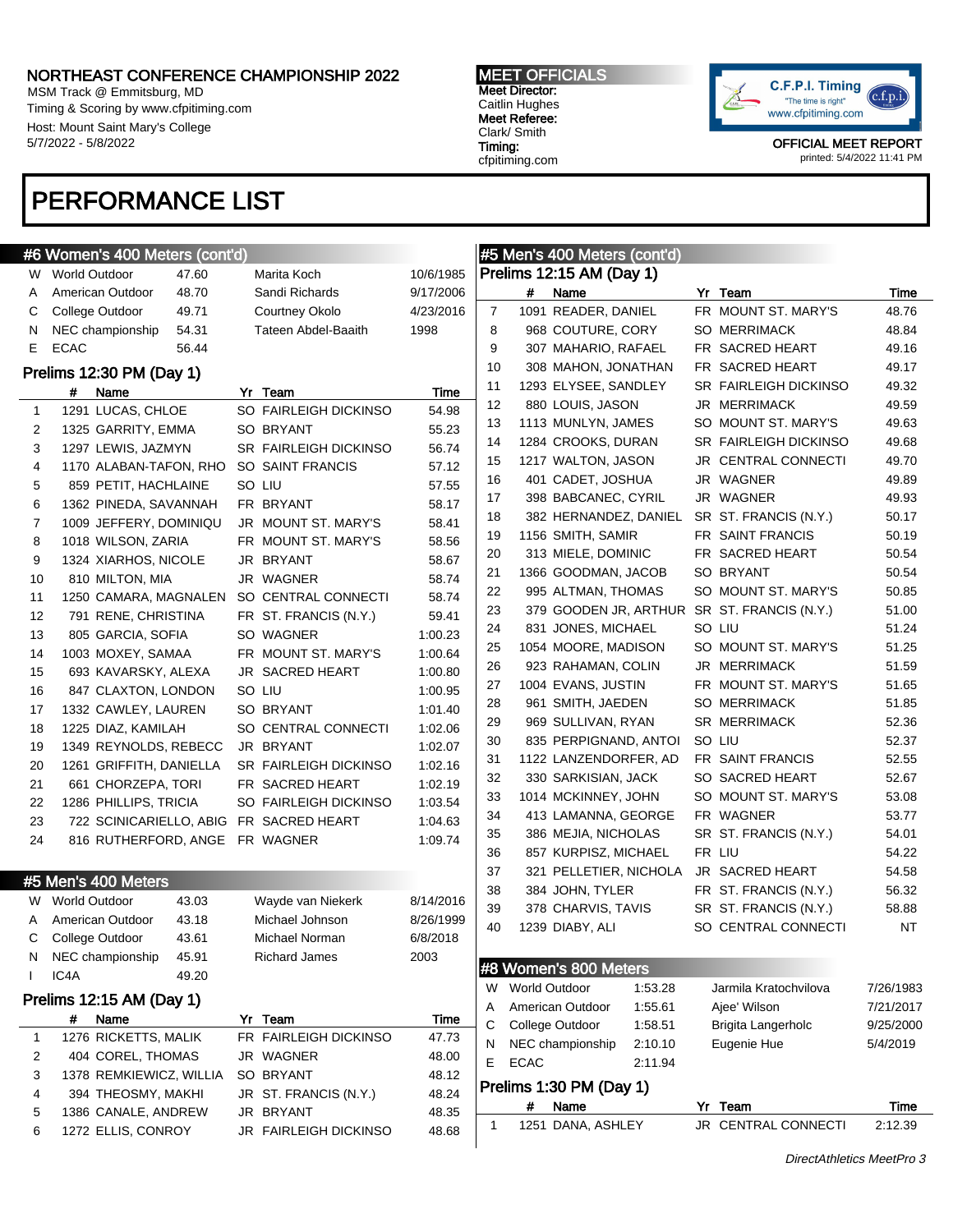MSM Track @ Emmitsburg, MD Timing & Scoring by www.cfpitiming.com Host: Mount Saint Mary's College 5/7/2022 - 5/8/2022

### MEET OFFICIALS Meet Director: Caitlin Hughes

Meet Referee: Clark/ Smith Timing: cfpitiming.com



OFFICIAL MEET REPORT printed: 5/4/2022 11:41 PM

# PERFORMANCE LIST

|              | #6 Women's 400 Meters (cont'd) |       |                              |           |                |                 | #5 Men's 400 Meters (cont'd) |         |                                             |           |
|--------------|--------------------------------|-------|------------------------------|-----------|----------------|-----------------|------------------------------|---------|---------------------------------------------|-----------|
|              | W World Outdoor                | 47.60 | Marita Koch                  | 10/6/1985 |                |                 | Prelims 12:15 AM (Day 1)     |         |                                             |           |
| Α            | American Outdoor               | 48.70 | Sandi Richards               | 9/17/2006 |                | #               | Name                         |         | Yr Team                                     | Time      |
| С            | College Outdoor                | 49.71 | Courtney Okolo               | 4/23/2016 | $\overline{7}$ |                 | 1091 READER, DANIEL          |         | FR MOUNT ST. MARY'S                         | 48.76     |
| N            | NEC championship               | 54.31 | Tateen Abdel-Baaith          | 1998      | 8              |                 | 968 COUTURE, CORY            |         | <b>SO MERRIMACK</b>                         | 48.84     |
| Е            | <b>ECAC</b>                    | 56.44 |                              |           | 9              |                 | 307 MAHARIO, RAFAEL          |         | FR SACRED HEART                             | 49.16     |
|              | Prelims 12:30 PM (Day 1)       |       |                              |           | 10             |                 | 308 MAHON, JONATHAN          |         | FR SACRED HEART                             | 49.17     |
|              | Name<br>#                      |       | Yr Team                      | Time      | 11             |                 | 1293 ELYSEE, SANDLEY         |         | <b>SR FAIRLEIGH DICKINSO</b>                | 49.32     |
| $\mathbf{1}$ | 1291 LUCAS, CHLOE              |       | SO FAIRLEIGH DICKINSO        | 54.98     | 12             |                 | 880 LOUIS, JASON             |         | <b>JR MERRIMACK</b>                         | 49.59     |
| 2            | 1325 GARRITY, EMMA             |       | SO BRYANT                    | 55.23     | 13             |                 | 1113 MUNLYN, JAMES           |         | SO MOUNT ST. MARY'S                         | 49.63     |
| 3            | 1297 LEWIS, JAZMYN             |       | <b>SR FAIRLEIGH DICKINSO</b> | 56.74     | 14             |                 | 1284 CROOKS, DURAN           |         | <b>SR FAIRLEIGH DICKINSO</b>                | 49.68     |
| 4            | 1170 ALABAN-TAFON, RHO         |       | SO SAINT FRANCIS             | 57.12     | 15             |                 | 1217 WALTON, JASON           |         | JR CENTRAL CONNECTI                         | 49.70     |
| 5            | 859 PETIT, HACHLAINE           |       | SO LIU                       | 57.55     | 16             |                 | 401 CADET, JOSHUA            |         | JR WAGNER                                   | 49.89     |
| 6            | 1362 PINEDA, SAVANNAH          |       | FR BRYANT                    | 58.17     | 17             |                 | 398 BABCANEC, CYRIL          |         | JR WAGNER                                   | 49.93     |
| 7            | 1009 JEFFERY, DOMINIQU         |       | JR MOUNT ST. MARY'S          | 58.41     | 18             |                 | 382 HERNANDEZ, DANIEL        |         | SR ST. FRANCIS (N.Y.)                       | 50.17     |
| 8            | 1018 WILSON, ZARIA             |       | FR MOUNT ST. MARY'S          | 58.56     | 19             |                 | 1156 SMITH, SAMIR            |         | FR SAINT FRANCIS                            | 50.19     |
| 9            | 1324 XIARHOS, NICOLE           |       | JR BRYANT                    | 58.67     | 20             |                 | 313 MIELE, DOMINIC           |         | FR SACRED HEART                             | 50.54     |
| 10           | 810 MILTON, MIA                |       | JR WAGNER                    | 58.74     | 21             |                 | 1366 GOODMAN, JACOB          |         | SO BRYANT                                   | 50.54     |
| 11           | 1250 CAMARA, MAGNALEN          |       | SO CENTRAL CONNECTI          | 58.74     | 22             |                 | 995 ALTMAN, THOMAS           |         | SO MOUNT ST. MARY'S                         | 50.85     |
| 12           | 791 RENE, CHRISTINA            |       | FR ST. FRANCIS (N.Y.)        | 59.41     | 23             |                 |                              |         | 379 GOODEN JR, ARTHUR SR ST. FRANCIS (N.Y.) | 51.00     |
| 13           | 805 GARCIA, SOFIA              |       | SO WAGNER                    | 1:00.23   | 24             |                 | 831 JONES, MICHAEL           |         | SO LIU                                      | 51.24     |
| 14           | 1003 MOXEY, SAMAA              |       | FR MOUNT ST. MARY'S          | 1:00.64   | 25             |                 | 1054 MOORE, MADISON          |         | SO MOUNT ST. MARY'S                         | 51.25     |
| 15           | 693 KAVARSKY, ALEXA            |       | <b>JR SACRED HEART</b>       | 1:00.80   | 26             |                 | 923 RAHAMAN, COLIN           |         | JR MERRIMACK                                | 51.59     |
| 16           | 847 CLAXTON, LONDON            |       | SO LIU                       | 1:00.95   | 27             |                 | 1004 EVANS, JUSTIN           |         | FR MOUNT ST. MARY'S                         | 51.65     |
| 17           | 1332 CAWLEY, LAUREN            |       | SO BRYANT                    | 1:01.40   | 28             |                 | 961 SMITH, JAEDEN            |         | <b>SO MERRIMACK</b>                         | 51.85     |
| 18           | 1225 DIAZ, KAMILAH             |       | SO CENTRAL CONNECTI          | 1:02.06   | 29             |                 | 969 SULLIVAN, RYAN           |         | <b>SR MERRIMACK</b>                         | 52.36     |
| 19           | 1349 REYNOLDS, REBECC          |       | JR BRYANT                    | 1:02.07   | 30             |                 | 835 PERPIGNAND, ANTOI        |         | SO LIU                                      | 52.37     |
| 20           | 1261 GRIFFITH, DANIELLA        |       | <b>SR FAIRLEIGH DICKINSO</b> | 1:02.16   | 31             |                 | 1122 LANZENDORFER, AD        |         | FR SAINT FRANCIS                            | 52.55     |
| 21           | 661 CHORZEPA, TORI             |       | FR SACRED HEART              | 1:02.19   | 32             |                 | 330 SARKISIAN, JACK          |         | SO SACRED HEART                             | 52.67     |
| 22           | 1286 PHILLIPS, TRICIA          |       | SO FAIRLEIGH DICKINSO        | 1:03.54   | 33             |                 | 1014 MCKINNEY, JOHN          |         | SO MOUNT ST. MARY'S                         | 53.08     |
| 23           | 722 SCINICARIELLO, ABIG        |       | FR SACRED HEART              | 1:04.63   | 34             |                 | 413 LAMANNA, GEORGE          |         | FR WAGNER                                   | 53.77     |
| 24           | 816 RUTHERFORD, ANGE           |       | FR WAGNER                    | 1:09.74   | 35             |                 | 386 MEJIA, NICHOLAS          |         | SR ST. FRANCIS (N.Y.)                       | 54.01     |
|              |                                |       |                              |           | 36             |                 | 857 KURPISZ, MICHAEL         |         | FR LIU                                      | 54.22     |
|              | #5 Men's 400 Meters            |       |                              |           | 37             |                 | 321 PELLETIER, NICHOLA       |         | JR SACRED HEART                             | 54.58     |
|              | W World Outdoor                | 43.03 | Wayde van Niekerk            | 8/14/2016 | 38             |                 | 384 JOHN, TYLER              |         | FR ST. FRANCIS (N.Y.)                       | 56.32     |
| Α            | American Outdoor               | 43.18 | Michael Johnson              | 8/26/1999 | 39             |                 | 378 CHARVIS, TAVIS           |         | SR ST. FRANCIS (N.Y.)                       | 58.88     |
| С            | College Outdoor                | 43.61 | Michael Norman               | 6/8/2018  | 40             |                 | 1239 DIABY, ALI              |         | SO CENTRAL CONNECTI                         | NT        |
| N            | NEC championship               | 45.91 | <b>Richard James</b>         | 2003      |                |                 |                              |         |                                             |           |
|              | IC4A                           | 49.20 |                              |           |                |                 | #8 Women's 800 Meters        |         |                                             |           |
|              |                                |       |                              |           |                | W World Outdoor |                              | 1:53.28 | Jarmila Kratochvilova                       | 7/26/1983 |
|              | Prelims 12:15 AM (Day 1)       |       |                              |           | A              |                 | American Outdoor             | 1:55.61 | Ajee' Wilson                                | 7/21/2017 |
|              | #<br>Name                      |       | Yr Team                      | Time      | С              |                 | College Outdoor              | 1:58.51 | Brigita Langerholc                          | 9/25/2000 |
| $\mathbf{1}$ | 1276 RICKETTS, MALIK           |       | FR FAIRLEIGH DICKINSO        | 47.73     | N              |                 | NEC championship             | 2:10.10 | Eugenie Hue                                 | 5/4/2019  |
| 2            | 404 COREL, THOMAS              |       | JR WAGNER                    | 48.00     | Е              | <b>ECAC</b>     |                              | 2:11.94 |                                             |           |
| 3            | 1378 REMKIEWICZ, WILLIA        |       | SO BRYANT                    | 48.12     |                |                 | Prelims 1:30 PM (Day 1)      |         |                                             |           |
| 4            | 394 THEOSMY, MAKHI             |       | JR ST. FRANCIS (N.Y.)        | 48.24     |                | #               | Name                         |         | Yr Team                                     | Time      |
| 5            | 1386 CANALE, ANDREW            |       | JR BRYANT                    | 48.35     | 1              |                 | 1251 DANA, ASHLEY            |         | JR CENTRAL CONNECTI                         | 2:12.39   |
| 6            | 1272 ELLIS, CONROY             |       | JR FAIRLEIGH DICKINSO        | 48.68     |                |                 |                              |         |                                             |           |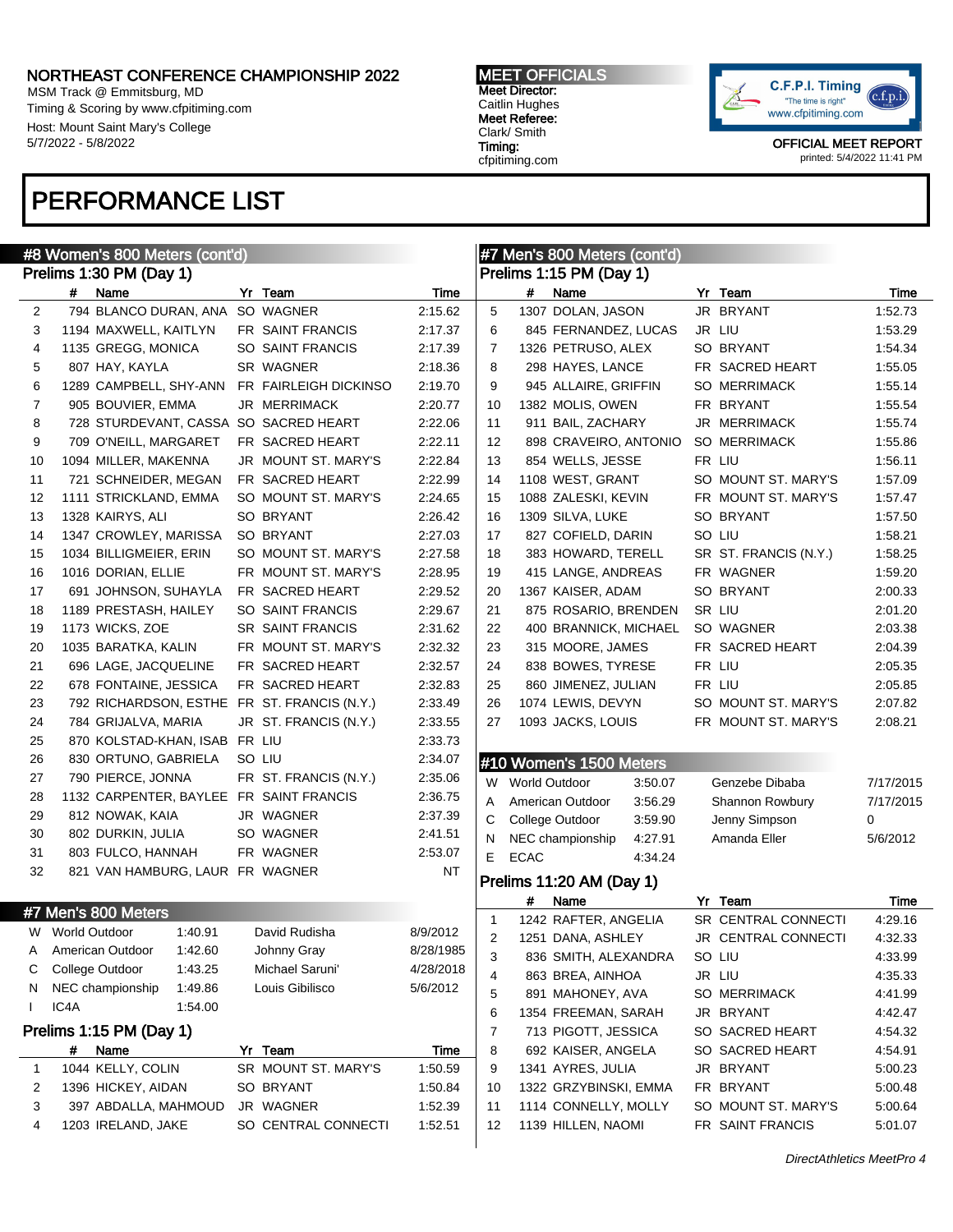MSM Track @ Emmitsburg, MD Timing & Scoring by www.cfpitiming.com Host: Mount Saint Mary's College 5/7/2022 - 5/8/2022

#### MEET OFFICIALS Meet Director: Caitlin Hughes Meet Referee: Clark/ Smith Timing: cfpitiming.com



OFFICIAL MEET REPORT printed: 5/4/2022 11:41 PM

# PERFORMANCE LIST

| #8 Women's 800 Meters (cont'd)<br>#7 Men's 800 Meters (cont'd) |      |                                 |         |  |                                             |           |                |             |                          |         |                       |           |
|----------------------------------------------------------------|------|---------------------------------|---------|--|---------------------------------------------|-----------|----------------|-------------|--------------------------|---------|-----------------------|-----------|
|                                                                |      | Prelims 1:30 PM (Day 1)         |         |  |                                             |           |                |             | Prelims 1:15 PM (Day 1)  |         |                       |           |
|                                                                | #    | Name                            |         |  | Yr Team                                     | Time      |                | #           | Name                     |         | Yr Team               | Time      |
| 2                                                              |      | 794 BLANCO DURAN, ANA           |         |  | SO WAGNER                                   | 2:15.62   | 5              |             | 1307 DOLAN, JASON        |         | JR BRYANT             | 1:52.73   |
| 3                                                              |      | 1194 MAXWELL, KAITLYN           |         |  | FR SAINT FRANCIS                            | 2:17.37   | 6              |             | 845 FERNANDEZ, LUCAS     |         | JR LIU                | 1:53.29   |
| 4                                                              |      | 1135 GREGG, MONICA              |         |  | SO SAINT FRANCIS                            | 2:17.39   | $\overline{7}$ |             | 1326 PETRUSO, ALEX       |         | SO BRYANT             | 1:54.34   |
| 5                                                              |      | 807 HAY, KAYLA                  |         |  | SR WAGNER                                   | 2:18.36   | 8              |             | 298 HAYES, LANCE         |         | FR SACRED HEART       | 1:55.05   |
| 6                                                              |      | 1289 CAMPBELL, SHY-ANN          |         |  | FR FAIRLEIGH DICKINSO                       | 2:19.70   | 9              |             | 945 ALLAIRE, GRIFFIN     |         | <b>SO MERRIMACK</b>   | 1:55.14   |
| $\overline{7}$                                                 |      | 905 BOUVIER, EMMA               |         |  | JR MERRIMACK                                | 2:20.77   | 10             |             | 1382 MOLIS, OWEN         |         | FR BRYANT             | 1:55.54   |
| 8                                                              |      |                                 |         |  | 728 STURDEVANT, CASSA SO SACRED HEART       | 2:22.06   | 11             |             | 911 BAIL, ZACHARY        |         | JR MERRIMACK          | 1:55.74   |
| 9                                                              |      | 709 O'NEILL, MARGARET           |         |  | FR SACRED HEART                             | 2:22.11   | 12             |             | 898 CRAVEIRO, ANTONIO    |         | SO MERRIMACK          | 1:55.86   |
| 10                                                             |      | 1094 MILLER, MAKENNA            |         |  | JR MOUNT ST. MARY'S                         | 2:22.84   | 13             |             | 854 WELLS, JESSE         |         | FR LIU                | 1:56.11   |
| 11                                                             |      | 721 SCHNEIDER, MEGAN            |         |  | FR SACRED HEART                             | 2:22.99   | 14             |             | 1108 WEST, GRANT         |         | SO MOUNT ST. MARY'S   | 1:57.09   |
| 12                                                             |      | 1111 STRICKLAND, EMMA           |         |  | SO MOUNT ST. MARY'S                         | 2:24.65   | 15             |             | 1088 ZALESKI, KEVIN      |         | FR MOUNT ST. MARY'S   | 1:57.47   |
| 13                                                             |      | 1328 KAIRYS, ALI                |         |  | SO BRYANT                                   | 2:26.42   | 16             |             | 1309 SILVA, LUKE         |         | SO BRYANT             | 1:57.50   |
| 14                                                             |      | 1347 CROWLEY, MARISSA           |         |  | SO BRYANT                                   | 2:27.03   | 17             |             | 827 COFIELD, DARIN       |         | SO LIU                | 1:58.21   |
| 15                                                             |      | 1034 BILLIGMEIER, ERIN          |         |  | SO MOUNT ST. MARY'S                         | 2:27.58   | 18             |             | 383 HOWARD, TERELL       |         | SR ST. FRANCIS (N.Y.) | 1:58.25   |
| 16                                                             |      | 1016 DORIAN, ELLIE              |         |  | FR MOUNT ST. MARY'S                         | 2:28.95   | 19             |             | 415 LANGE, ANDREAS       |         | FR WAGNER             | 1:59.20   |
| 17                                                             |      | 691 JOHNSON, SUHAYLA            |         |  | FR SACRED HEART                             | 2:29.52   | 20             |             | 1367 KAISER, ADAM        |         | SO BRYANT             | 2:00.33   |
| 18                                                             |      | 1189 PRESTASH, HAILEY           |         |  | SO SAINT FRANCIS                            | 2:29.67   | 21             |             | 875 ROSARIO, BRENDEN     |         | SR LIU                | 2:01.20   |
| 19                                                             |      | 1173 WICKS, ZOE                 |         |  | SR SAINT FRANCIS                            | 2:31.62   | 22             |             | 400 BRANNICK, MICHAEL    |         | SO WAGNER             | 2:03.38   |
| 20                                                             |      | 1035 BARATKA, KALIN             |         |  | FR MOUNT ST. MARY'S                         | 2:32.32   | 23             |             | 315 MOORE, JAMES         |         | FR SACRED HEART       | 2:04.39   |
| 21                                                             |      | 696 LAGE, JACQUELINE            |         |  | FR SACRED HEART                             | 2:32.57   | 24             |             | 838 BOWES, TYRESE        |         | FR LIU                | 2:05.35   |
| 22                                                             |      | 678 FONTAINE, JESSICA           |         |  | FR SACRED HEART                             | 2:32.83   | 25             |             | 860 JIMENEZ, JULIAN      |         | FR LIU                | 2:05.85   |
| 23                                                             |      |                                 |         |  | 792 RICHARDSON, ESTHE FR ST. FRANCIS (N.Y.) | 2:33.49   | 26             |             | 1074 LEWIS, DEVYN        |         | SO MOUNT ST. MARY'S   | 2:07.82   |
| 24                                                             |      | 784 GRIJALVA, MARIA             |         |  | JR ST. FRANCIS (N.Y.)                       | 2:33.55   | 27             |             | 1093 JACKS, LOUIS        |         | FR MOUNT ST. MARY'S   | 2:08.21   |
| 25                                                             |      | 870 KOLSTAD-KHAN, ISAB FR LIU   |         |  |                                             | 2:33.73   |                |             |                          |         |                       |           |
| 26                                                             |      | 830 ORTUNO, GABRIELA            |         |  | SO LIU                                      | 2:34.07   |                |             | #10 Women's 1500 Meters  |         |                       |           |
| 27                                                             |      | 790 PIERCE, JONNA               |         |  | FR ST. FRANCIS (N.Y.)                       | 2:35.06   | W              |             | <b>World Outdoor</b>     | 3:50.07 | Genzebe Dibaba        | 7/17/2015 |
| 28                                                             |      |                                 |         |  | 1132 CARPENTER, BAYLEE FR SAINT FRANCIS     | 2:36.75   | Α              |             | American Outdoor         | 3:56.29 | Shannon Rowbury       | 7/17/2015 |
| 29                                                             |      | 812 NOWAK, KAIA                 |         |  | JR WAGNER                                   | 2:37.39   | C              |             | College Outdoor          | 3:59.90 | Jenny Simpson         | 0         |
| 30                                                             |      | 802 DURKIN, JULIA               |         |  | SO WAGNER                                   | 2:41.51   | N              |             | NEC championship         | 4:27.91 | Amanda Eller          | 5/6/2012  |
| 31                                                             |      | 803 FULCO, HANNAH               |         |  | FR WAGNER                                   | 2:53.07   | E              | <b>ECAC</b> |                          | 4:34.24 |                       |           |
| 32                                                             |      | 821 VAN HAMBURG, LAUR FR WAGNER |         |  |                                             | NT        |                |             |                          |         |                       |           |
|                                                                |      |                                 |         |  |                                             |           |                |             | Prelims 11:20 AM (Day 1) |         |                       |           |
|                                                                |      | #7 Men's 800 Meters             |         |  |                                             |           |                | #           | Name                     |         | Yr Team               | Time      |
|                                                                |      | W World Outdoor                 | 1:40.91 |  | David Rudisha                               | 8/9/2012  | 1              |             | 1242 RAFTER, ANGELIA     |         | SR CENTRAL CONNECTI   | 4:29.16   |
| A                                                              |      | American Outdoor                | 1:42.60 |  | Johnny Gray                                 | 8/28/1985 | 2              |             | 1251 DANA, ASHLEY        |         | JR CENTRAL CONNECTI   | 4:32.33   |
| С                                                              |      | College Outdoor                 | 1:43.25 |  | Michael Saruni'                             | 4/28/2018 | 3              |             | 836 SMITH, ALEXANDRA     |         | SO LIU                | 4:33.99   |
| N                                                              |      | NEC championship                | 1:49.86 |  | Louis Gibilisco                             | 5/6/2012  | 4              |             | 863 BREA, AINHOA         |         | JR LIU                | 4:35.33   |
| $\mathbf{I}$                                                   | IC4A |                                 | 1:54.00 |  |                                             |           | 5              |             | 891 MAHONEY, AVA         |         | SO MERRIMACK          | 4:41.99   |
|                                                                |      |                                 |         |  |                                             |           | 6              |             | 1354 FREEMAN, SARAH      |         | JR BRYANT             | 4:42.47   |
|                                                                |      | Prelims 1:15 PM (Day 1)         |         |  |                                             |           | 7              |             | 713 PIGOTT, JESSICA      |         | SO SACRED HEART       | 4:54.32   |
|                                                                | #    | Name                            |         |  | Yr Team                                     | Time      | 8              |             | 692 KAISER, ANGELA       |         | SO SACRED HEART       | 4:54.91   |
| $\mathbf{1}$                                                   |      | 1044 KELLY, COLIN               |         |  | SR MOUNT ST. MARY'S                         | 1:50.59   | 9              |             | 1341 AYRES, JULIA        |         | JR BRYANT             | 5:00.23   |
| 2                                                              |      | 1396 HICKEY, AIDAN              |         |  | SO BRYANT                                   | 1:50.84   | 10             |             | 1322 GRZYBINSKI, EMMA    |         | FR BRYANT             | 5:00.48   |
| 3                                                              |      | 397 ABDALLA, MAHMOUD            |         |  | JR WAGNER                                   | 1:52.39   | 11             |             | 1114 CONNELLY, MOLLY     |         | SO MOUNT ST. MARY'S   | 5:00.64   |
| 4                                                              |      | 1203 IRELAND, JAKE              |         |  | SO CENTRAL CONNECTI                         | 1:52.51   | 12             |             | 1139 HILLEN, NAOMI       |         | FR SAINT FRANCIS      | 5:01.07   |
|                                                                |      |                                 |         |  |                                             |           |                |             |                          |         |                       |           |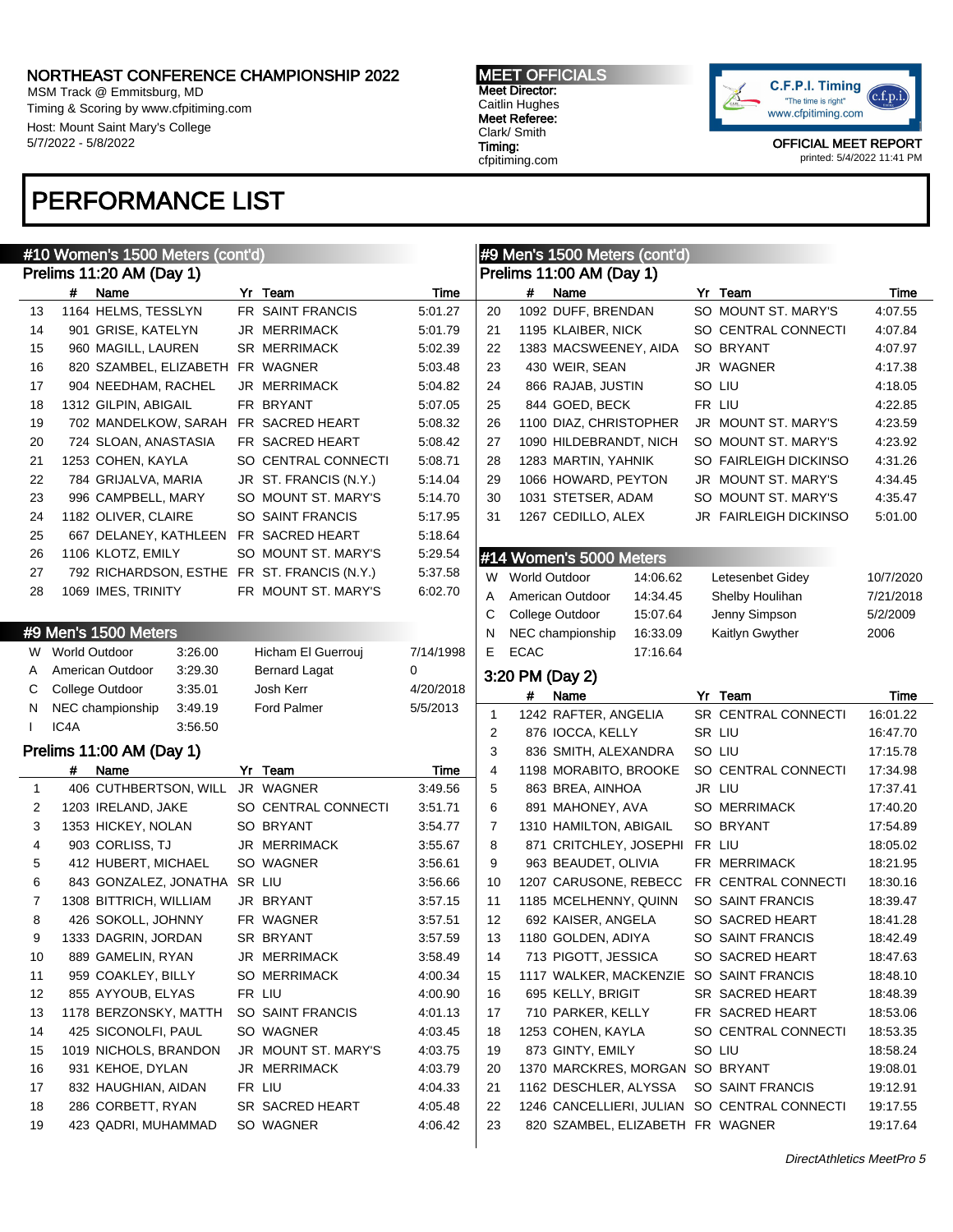MSM Track @ Emmitsburg, MD Timing & Scoring by www.cfpitiming.com Host: Mount Saint Mary's College 5/7/2022 - 5/8/2022

# PERFORMANCE LIST

MEET OFFICIALS Meet Director: Caitlin Hughes Meet Referee: Clark/ Smith Timing: cfpitiming.com



|              |                      | #10 Women's 1500 Meters (cont'd) |         |                                             |           |    |                      | #9 Men's 1500 Meters (cont'd)    |          |                                              |           |
|--------------|----------------------|----------------------------------|---------|---------------------------------------------|-----------|----|----------------------|----------------------------------|----------|----------------------------------------------|-----------|
|              |                      | Prelims 11:20 AM (Day 1)         |         |                                             |           |    |                      | Prelims 11:00 AM (Day 1)         |          |                                              |           |
|              | #                    | Name                             |         | Yr Team                                     | Time      |    | #                    | Name                             |          | Yr Team                                      | Time      |
| 13           |                      | 1164 HELMS, TESSLYN              |         | FR SAINT FRANCIS                            | 5:01.27   | 20 |                      | 1092 DUFF, BRENDAN               |          | SO MOUNT ST. MARY'S                          | 4:07.55   |
| 14           |                      | 901 GRISE, KATELYN               |         | JR MERRIMACK                                | 5:01.79   | 21 |                      | 1195 KLAIBER, NICK               |          | SO CENTRAL CONNECTI                          | 4:07.84   |
| 15           |                      | 960 MAGILL, LAUREN               |         | <b>SR MERRIMACK</b>                         | 5:02.39   | 22 |                      | 1383 MACSWEENEY, AIDA            |          | SO BRYANT                                    | 4:07.97   |
| 16           |                      | 820 SZAMBEL, ELIZABETH           |         | FR WAGNER                                   | 5:03.48   | 23 |                      | 430 WEIR, SEAN                   |          | JR WAGNER                                    | 4:17.38   |
| 17           |                      | 904 NEEDHAM, RACHEL              |         | <b>JR MERRIMACK</b>                         | 5:04.82   | 24 |                      | 866 RAJAB, JUSTIN                |          | SO LIU                                       | 4:18.05   |
| 18           |                      | 1312 GILPIN, ABIGAIL             |         | FR BRYANT                                   | 5:07.05   | 25 |                      | 844 GOED, BECK                   |          | FR LIU                                       | 4:22.85   |
| 19           |                      | 702 MANDELKOW, SARAH             |         | FR SACRED HEART                             | 5:08.32   | 26 |                      | 1100 DIAZ, CHRISTOPHER           |          | JR MOUNT ST. MARY'S                          | 4:23.59   |
| 20           |                      | 724 SLOAN, ANASTASIA             |         | FR SACRED HEART                             | 5:08.42   | 27 |                      | 1090 HILDEBRANDT, NICH           |          | SO MOUNT ST. MARY'S                          | 4:23.92   |
| 21           |                      | 1253 COHEN, KAYLA                |         | SO CENTRAL CONNECTI                         | 5:08.71   | 28 |                      | 1283 MARTIN, YAHNIK              |          | SO FAIRLEIGH DICKINSO                        | 4:31.26   |
| 22           |                      | 784 GRIJALVA, MARIA              |         | JR ST. FRANCIS (N.Y.)                       | 5:14.04   | 29 |                      | 1066 HOWARD, PEYTON              |          | JR MOUNT ST. MARY'S                          | 4:34.45   |
| 23           |                      | 996 CAMPBELL, MARY               |         | SO MOUNT ST. MARY'S                         | 5:14.70   | 30 |                      | 1031 STETSER, ADAM               |          | SO MOUNT ST. MARY'S                          | 4:35.47   |
| 24           |                      | 1182 OLIVER, CLAIRE              |         | SO SAINT FRANCIS                            | 5:17.95   | 31 |                      | 1267 CEDILLO, ALEX               |          | JR FAIRLEIGH DICKINSO                        | 5:01.00   |
| 25           |                      | 667 DELANEY, KATHLEEN            |         | FR SACRED HEART                             | 5:18.64   |    |                      |                                  |          |                                              |           |
| 26           |                      | 1106 KLOTZ, EMILY                |         | SO MOUNT ST. MARY'S                         | 5:29.54   |    |                      | #14 Women's 5000 Meters          |          |                                              |           |
| 27           |                      |                                  |         | 792 RICHARDSON, ESTHE FR ST. FRANCIS (N.Y.) | 5:37.58   | W  | <b>World Outdoor</b> |                                  | 14:06.62 | Letesenbet Gidey                             | 10/7/2020 |
| 28           |                      | 1069 IMES, TRINITY               |         | FR MOUNT ST. MARY'S                         | 6:02.70   | Α  |                      | American Outdoor                 | 14:34.45 | Shelby Houlihan                              | 7/21/2018 |
|              |                      |                                  |         |                                             |           | С  |                      | College Outdoor                  | 15:07.64 | Jenny Simpson                                | 5/2/2009  |
|              |                      | #9 Men's 1500 Meters             |         |                                             |           | N  |                      | NEC championship                 | 16:33.09 | Kaitlyn Gwyther                              | 2006      |
| W.           | <b>World Outdoor</b> |                                  | 3:26.00 | Hicham El Guerrouj                          | 7/14/1998 | Е  | <b>ECAC</b>          |                                  | 17:16.64 |                                              |           |
| A            |                      | American Outdoor                 | 3:29.30 | <b>Bernard Lagat</b>                        | 0         |    |                      | 3:20 PM (Day 2)                  |          |                                              |           |
| C            |                      | College Outdoor                  | 3:35.01 | Josh Kerr                                   | 4/20/2018 |    | #                    | Name                             |          | Yr Team                                      | Time      |
| N            |                      | NEC championship                 | 3:49.19 | <b>Ford Palmer</b>                          | 5/5/2013  | 1  |                      | 1242 RAFTER, ANGELIA             |          | SR CENTRAL CONNECTI                          | 16:01.22  |
|              | IC4A                 |                                  | 3:56.50 |                                             |           | 2  |                      | 876 IOCCA, KELLY                 |          | SR LIU                                       | 16:47.70  |
|              |                      | Prelims 11:00 AM (Day 1)         |         |                                             |           | 3  |                      | 836 SMITH, ALEXANDRA             |          | SO LIU                                       | 17:15.78  |
|              | #                    | Name                             |         | Yr Team                                     | Time      | 4  |                      | 1198 MORABITO, BROOKE            |          | SO CENTRAL CONNECTI                          | 17:34.98  |
| $\mathbf{1}$ |                      | 406 CUTHBERTSON, WILL            |         | JR WAGNER                                   | 3:49.56   | 5  |                      | 863 BREA, AINHOA                 |          | JR LIU                                       | 17:37.41  |
| 2            |                      | 1203 IRELAND, JAKE               |         | SO CENTRAL CONNECTI                         | 3:51.71   | 6  |                      | 891 MAHONEY, AVA                 |          | <b>SO MERRIMACK</b>                          | 17:40.20  |
| 3            |                      | 1353 HICKEY, NOLAN               |         | SO BRYANT                                   | 3:54.77   | 7  |                      | 1310 HAMILTON, ABIGAIL           |          | SO BRYANT                                    | 17:54.89  |
| 4            |                      | 903 CORLISS, TJ                  |         | <b>JR MERRIMACK</b>                         | 3:55.67   | 8  |                      | 871 CRITCHLEY, JOSEPHI FR LIU    |          |                                              | 18:05.02  |
| 5            |                      | 412 HUBERT, MICHAEL              |         | SO WAGNER                                   | 3:56.61   | 9  |                      | 963 BEAUDET, OLIVIA              |          | FR MERRIMACK                                 | 18:21.95  |
| 6            |                      | 843 GONZALEZ, JONATHA            |         | SR LIU                                      | 3:56.66   | 10 |                      | 1207 CARUSONE, REBECC            |          | FR CENTRAL CONNECTI                          | 18:30.16  |
| 7            |                      | 1308 BITTRICH, WILLIAM           |         | JR BRYANT                                   | 3:57.15   | 11 |                      | 1185 MCELHENNY, QUINN            |          | SO SAINT FRANCIS                             | 18:39.47  |
| 8            |                      | 426 SOKOLL, JOHNNY               |         | FR WAGNER                                   | 3:57.51   | 12 |                      | 692 KAISER, ANGELA               |          | SO SACRED HEART                              | 18:41.28  |
| 9            |                      | 1333 DAGRIN, JORDAN              |         | SR BRYANT                                   | 3:57.59   | 13 |                      | 1180 GOLDEN, ADIYA               |          | SO SAINT FRANCIS                             | 18:42.49  |
| 10           |                      | 889 GAMELIN, RYAN                |         | JR MERRIMACK                                | 3:58.49   | 14 |                      | 713 PIGOTT, JESSICA              |          | SO SACRED HEART                              | 18:47.63  |
| 11           |                      | 959 COAKLEY, BILLY               |         | SO MERRIMACK                                | 4:00.34   | 15 |                      |                                  |          | 1117 WALKER, MACKENZIE SO SAINT FRANCIS      | 18:48.10  |
| 12           |                      | 855 AYYOUB, ELYAS                |         | FR LIU                                      | 4:00.90   | 16 |                      | 695 KELLY, BRIGIT                |          | SR SACRED HEART                              | 18:48.39  |
| 13           |                      | 1178 BERZONSKY, MATTH            |         | SO SAINT FRANCIS                            | 4:01.13   | 17 |                      | 710 PARKER, KELLY                |          | FR SACRED HEART                              | 18:53.06  |
| 14           |                      | 425 SICONOLFI, PAUL              |         | SO WAGNER                                   | 4:03.45   | 18 |                      | 1253 COHEN, KAYLA                |          | SO CENTRAL CONNECTI                          | 18:53.35  |
| 15           |                      | 1019 NICHOLS, BRANDON            |         | JR MOUNT ST. MARY'S                         | 4:03.75   | 19 |                      | 873 GINTY, EMILY                 |          | SO LIU                                       | 18:58.24  |
| 16           |                      | 931 KEHOE, DYLAN                 |         | JR MERRIMACK                                | 4:03.79   | 20 |                      | 1370 MARCKRES, MORGAN SO BRYANT  |          |                                              | 19:08.01  |
| 17           |                      | 832 HAUGHIAN, AIDAN              |         | FR LIU                                      | 4:04.33   | 21 |                      | 1162 DESCHLER, ALYSSA            |          | SO SAINT FRANCIS                             | 19:12.91  |
| 18           |                      | 286 CORBETT, RYAN                |         | SR SACRED HEART                             | 4:05.48   | 22 |                      |                                  |          | 1246 CANCELLIERI, JULIAN SO CENTRAL CONNECTI | 19:17.55  |
| 19           |                      | 423 QADRI, MUHAMMAD              |         | SO WAGNER                                   | 4:06.42   | 23 |                      | 820 SZAMBEL, ELIZABETH FR WAGNER |          |                                              | 19:17.64  |
|              |                      |                                  |         |                                             |           |    |                      |                                  |          |                                              |           |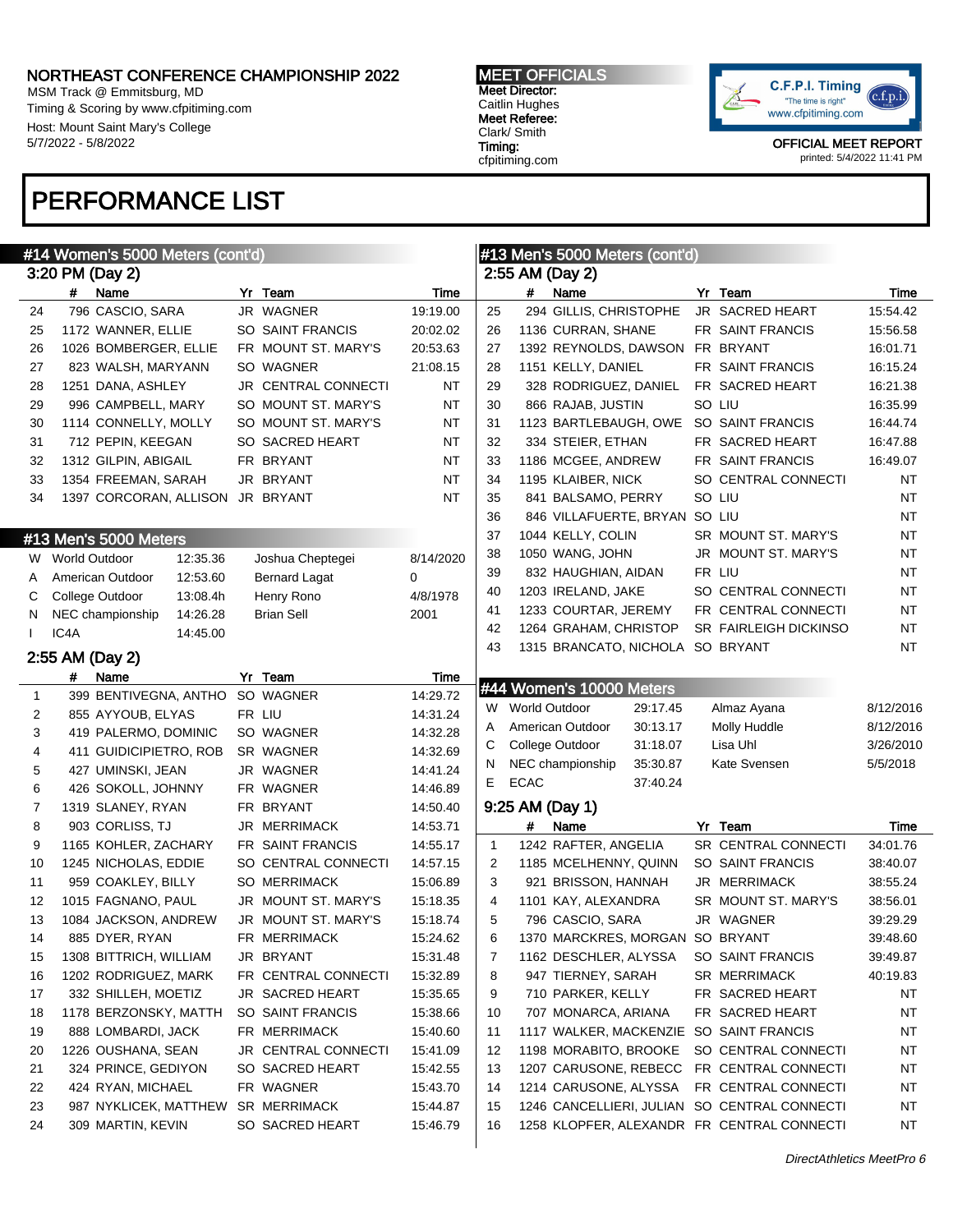MSM Track @ Emmitsburg, MD Timing & Scoring by www.cfpitiming.com Host: Mount Saint Mary's College 5/7/2022 - 5/8/2022

# PERFORMANCE LIST

MEET OFFICIALS Meet Director: Caitlin Hughes Meet Referee: Clark/ Smith Timing: cfpitiming.com



|              |                      | #14 Women's 5000 Meters (cont'd)               |                                        |                      |              |               | #13 Men's 5000 Meters (cont'd)                                     |                                         |           |
|--------------|----------------------|------------------------------------------------|----------------------------------------|----------------------|--------------|---------------|--------------------------------------------------------------------|-----------------------------------------|-----------|
|              |                      | 3:20 PM (Day 2)                                |                                        |                      |              |               | 2:55 AM (Day 2)                                                    |                                         |           |
|              | #                    | Name                                           | Yr Team                                | Time                 |              | #             | Name                                                               | Yr Team                                 | Time      |
| 24           |                      | 796 CASCIO, SARA                               | JR WAGNER                              | 19:19.00             | 25           |               | 294 GILLIS, CHRISTOPHE                                             | JR SACRED HEART                         | 15:54.42  |
| 25           |                      | 1172 WANNER, ELLIE                             | SO SAINT FRANCIS                       | 20:02.02             | 26           |               | 1136 CURRAN, SHANE                                                 | FR SAINT FRANCIS                        | 15:56.58  |
| 26           |                      | 1026 BOMBERGER, ELLIE                          | FR MOUNT ST. MARY'S                    | 20:53.63             | 27           |               | 1392 REYNOLDS, DAWSON FR BRYANT                                    |                                         | 16:01.71  |
| 27           |                      | 823 WALSH, MARYANN                             | SO WAGNER                              | 21:08.15             | 28           |               | 1151 KELLY, DANIEL                                                 | FR SAINT FRANCIS                        | 16:15.24  |
| 28           |                      | 1251 DANA, ASHLEY                              | JR CENTRAL CONNECTI                    | NT                   | 29           |               | 328 RODRIGUEZ, DANIEL                                              | FR SACRED HEART                         | 16:21.38  |
| 29           |                      | 996 CAMPBELL, MARY                             | SO MOUNT ST. MARY'S                    | NT                   | 30           |               | 866 RAJAB, JUSTIN                                                  | SO LIU                                  | 16:35.99  |
| 30           |                      | 1114 CONNELLY, MOLLY                           | SO MOUNT ST. MARY'S<br>SO SACRED HEART | NT                   | 31           |               | 1123 BARTLEBAUGH, OWE                                              | SO SAINT FRANCIS                        | 16:44.74  |
| 31           |                      | 712 PEPIN, KEEGAN                              | FR BRYANT                              | NT<br>NT             | 32<br>33     |               | 334 STEIER, ETHAN<br>1186 MCGEE, ANDREW                            | FR SACRED HEART                         | 16:47.88  |
| 32           |                      | 1312 GILPIN, ABIGAIL                           | JR BRYANT                              | NT                   | 34           |               |                                                                    | FR SAINT FRANCIS<br>SO CENTRAL CONNECTI | 16:49.07  |
| 33           |                      | 1354 FREEMAN, SARAH                            |                                        | <b>NT</b>            | 35           |               | 1195 KLAIBER, NICK                                                 | SO LIU                                  | ΝT        |
| 34           |                      | 1397 CORCORAN, ALLISON                         | JR BRYANT                              |                      | 36           |               | 841 BALSAMO, PERRY<br>846 VILLAFUERTE, BRYAN SO LIU                |                                         | ΝT        |
|              |                      |                                                |                                        |                      | 37           |               | 1044 KELLY, COLIN                                                  | SR MOUNT ST. MARY'S                     | ΝT<br>ΝT  |
|              |                      | #13 Men's 5000 Meters                          |                                        |                      | 38           |               | 1050 WANG, JOHN                                                    | JR MOUNT ST. MARY'S                     | ΝT        |
| W.           | <b>World Outdoor</b> | 12:35.36                                       | Joshua Cheptegei                       | 8/14/2020            | 39           |               | 832 HAUGHIAN, AIDAN                                                | FR LIU                                  | ΝT        |
| A            |                      | 12:53.60<br>American Outdoor                   | <b>Bernard Lagat</b>                   | 0                    | 40           |               | 1203 IRELAND, JAKE                                                 | SO CENTRAL CONNECTI                     | <b>NT</b> |
| С            |                      | College Outdoor<br>13:08.4h                    | Henry Rono                             | 4/8/1978             | 41           |               | 1233 COURTAR, JEREMY                                               | FR CENTRAL CONNECTI                     | <b>NT</b> |
| N.           |                      | NEC championship<br>14:26.28                   | <b>Brian Sell</b>                      | 2001                 | 42           |               | 1264 GRAHAM, CHRISTOP                                              | SR FAIRLEIGH DICKINSO                   | <b>NT</b> |
|              | IC4A                 | 14:45.00                                       |                                        |                      | 43           |               | 1315 BRANCATO, NICHOLA SO BRYANT                                   |                                         | NT        |
|              |                      | 2:55 AM (Day 2)                                |                                        |                      |              |               |                                                                    |                                         |           |
|              | #                    | Name                                           | Yr Team                                | Time                 |              |               | #44 Women's 10000 Meters                                           |                                         |           |
| $\mathbf{1}$ |                      | 399 BENTIVEGNA, ANTHO                          | SO WAGNER                              | 14:29.72             | W            | World Outdoor | 29:17.45                                                           | Almaz Ayana                             | 8/12/2016 |
| 2            |                      | 855 AYYOUB, ELYAS                              | FR LIU                                 | 14:31.24             | A            |               | 30:13.17<br>American Outdoor                                       | Molly Huddle                            | 8/12/2016 |
| 3            |                      | 419 PALERMO, DOMINIC                           | SO WAGNER                              | 14:32.28             | C            |               | College Outdoor<br>31:18.07                                        | Lisa Uhl                                | 3/26/2010 |
| 4            |                      | 411 GUIDICIPIETRO, ROB                         | SR WAGNER                              | 14:32.69             | N            |               | NEC championship<br>35:30.87                                       | Kate Svensen                            | 5/5/2018  |
| 5            |                      | 427 UMINSKI, JEAN                              | JR WAGNER                              | 14:41.24             | E.           | <b>ECAC</b>   | 37:40.24                                                           |                                         |           |
| 6            |                      | 426 SOKOLL, JOHNNY                             | FR WAGNER                              | 14:46.89             |              |               |                                                                    |                                         |           |
| 7            |                      | 1319 SLANEY, RYAN                              | FR BRYANT                              | 14:50.40             |              |               | 9:25 AM (Day 1)                                                    |                                         |           |
| 8            |                      | 903 CORLISS, TJ                                | <b>JR MERRIMACK</b>                    | 14:53.71             |              | #             | Name                                                               | Yr Team                                 | Time      |
| 9            |                      | 1165 KOHLER, ZACHARY                           | FR SAINT FRANCIS                       | 14:55.17             | $\mathbf{1}$ |               | 1242 RAFTER, ANGELIA                                               | SR CENTRAL CONNECTI                     | 34:01.76  |
| 10           |                      | 1245 NICHOLAS, EDDIE                           | SO CENTRAL CONNECTI                    | 14:57.15             | 2            |               | 1185 MCELHENNY, QUINN                                              | SO SAINT FRANCIS                        | 38:40.07  |
| 11           |                      | 959 COAKLEY, BILLY                             | <b>SO MERRIMACK</b>                    | 15:06.89             | 3            |               | 921 BRISSON, HANNAH                                                | JR MERRIMACK                            | 38:55.24  |
| 12           |                      | 1015 FAGNANO, PAUL                             | JR MOUNT ST. MARY'S                    | 15:18.35             | 4            |               | 1101 KAY, ALEXANDRA                                                | SR MOUNT ST. MARY'S                     | 38:56.01  |
| 13           |                      | 1084 JACKSON, ANDREW                           | JR MOUNT ST. MARY'S                    | 15:18.74             | 5            |               | 796 CASCIO, SARA                                                   | JR WAGNER                               | 39:29.29  |
| 14           |                      | 885 DYER, RYAN                                 | FR MERRIMACK                           | 15:24.62             | 6            |               | 1370 MARCKRES, MORGAN SO BRYANT                                    |                                         | 39:48.60  |
| 15           |                      | 1308 BITTRICH, WILLIAM<br>1202 RODRIGUEZ, MARK | JR BRYANT                              | 15:31.48<br>15:32.89 | 7            |               | 1162 DESCHLER, ALYSSA<br>947 TIERNEY, SARAH                        | SO SAINT FRANCIS                        | 39:49.87  |
| 16           |                      |                                                | FR CENTRAL CONNECTI                    |                      | 8            |               |                                                                    | SR MERRIMACK                            | 40:19.83  |
| 17           |                      | 332 SHILLEH, MOETIZ                            | JR SACRED HEART<br>SO SAINT FRANCIS    | 15:35.65             | 9            |               | 710 PARKER, KELLY                                                  | FR SACRED HEART<br>FR SACRED HEART      | NT        |
| 18           |                      | 1178 BERZONSKY, MATTH                          | FR MERRIMACK                           | 15:38.66             | 10           |               | 707 MONARCA, ARIANA                                                |                                         | NT        |
| 19           |                      | 888 LOMBARDI, JACK                             |                                        | 15:40.60             | 11           |               | 1117 WALKER, MACKENZIE SO SAINT FRANCIS                            |                                         | NT        |
| 20           |                      | 1226 OUSHANA, SEAN<br>324 PRINCE, GEDIYON      | JR CENTRAL CONNECTI<br>SO SACRED HEART | 15:41.09<br>15:42.55 | 12           |               | 1198 MORABITO, BROOKE<br>1207 CARUSONE, REBECC FR CENTRAL CONNECTI | SO CENTRAL CONNECTI                     | NT        |
| 21<br>22     |                      | 424 RYAN, MICHAEL                              | FR WAGNER                              | 15:43.70             | 13<br>14     |               | 1214 CARUSONE, ALYSSA                                              | FR CENTRAL CONNECTI                     | NT        |
| 23           |                      | 987 NYKLICEK, MATTHEW                          | SR MERRIMACK                           | 15:44.87             | 15           |               | 1246 CANCELLIERI, JULIAN SO CENTRAL CONNECTI                       |                                         | NT<br>NT  |
| 24           |                      | 309 MARTIN, KEVIN                              | SO SACRED HEART                        | 15:46.79             | 16           |               | 1258 KLOPFER, ALEXANDR FR CENTRAL CONNECTI                         |                                         | NT        |
|              |                      |                                                |                                        |                      |              |               |                                                                    |                                         |           |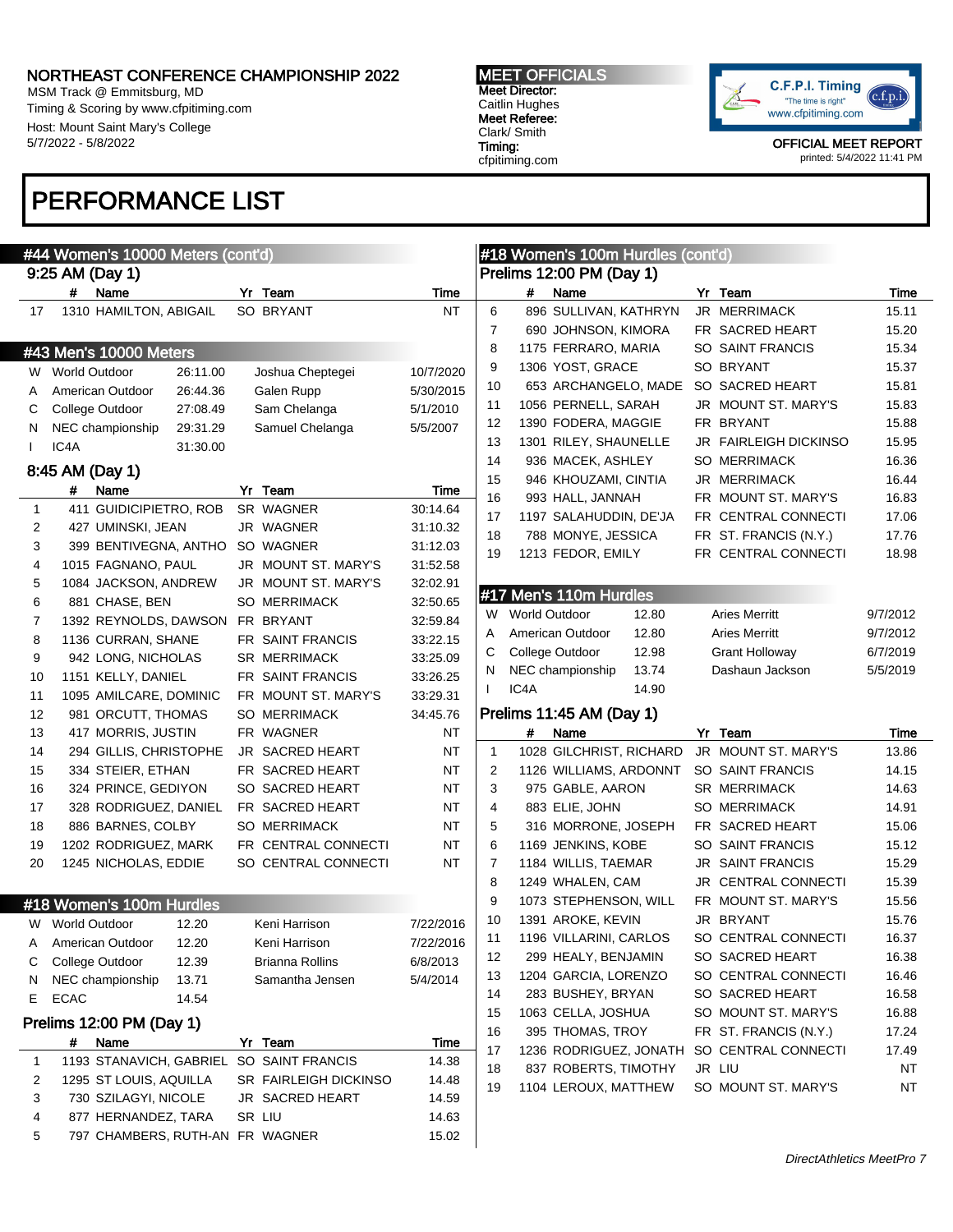$\mathbf{A}$  and  $\mathbf{A}$  women's 10000 Meters (control  $\mathbf{A}$ )

MSM Track @ Emmitsburg, MD Timing & Scoring by www.cfpitiming.com Host: Mount Saint Mary's College 5/7/2022 - 5/8/2022

# PERFORMANCE LIST

MEET OFFICIALS Meet Director: Caitlin Hughes Meet Referee: Clark/ Smith Timing: cfpitiming.com

 $\mu$ 40 Women's 400m Hurdles (contail)



|    | #44 vvomen's 10000 meters (cont a)<br>9:25 AM (Day 1)       |                            |                       |                |                   | #18 Women's TOUM Hurdles (cont'd) |                       |           |
|----|-------------------------------------------------------------|----------------------------|-----------------------|----------------|-------------------|-----------------------------------|-----------------------|-----------|
|    | Name<br>#                                                   | Yr Team                    | Time                  |                | #                 | Prelims 12:00 PM (Day 1)<br>Name  | Yr Team               | Time      |
| 17 | 1310 HAMILTON, ABIGAIL                                      | SO BRYANT                  | <b>NT</b>             | 6              |                   | 896 SULLIVAN, KATHRYN             | JR MERRIMACK          | 15.11     |
|    |                                                             |                            |                       | $\overline{7}$ |                   | 690 JOHNSON, KIMORA               | FR SACRED HEART       | 15.20     |
|    | #43 Men's 10000 Meters                                      |                            |                       | 8              |                   | 1175 FERRARO, MARIA               | SO SAINT FRANCIS      | 15.34     |
|    |                                                             |                            |                       | 9              |                   | 1306 YOST, GRACE                  | SO BRYANT             | 15.37     |
|    | W World Outdoor<br>26:11.00                                 | Joshua Cheptegei           | 10/7/2020             | 10             |                   | 653 ARCHANGELO, MADE              | SO SACRED HEART       | 15.81     |
| A  | American Outdoor<br>26:44.36<br>College Outdoor<br>27:08.49 | Galen Rupp<br>Sam Chelanga | 5/30/2015<br>5/1/2010 | 11             |                   | 1056 PERNELL, SARAH               | JR MOUNT ST. MARY'S   | 15.83     |
| C  | NEC championship<br>29:31.29                                | Samuel Chelanga            |                       | 12             |                   | 1390 FODERA, MAGGIE               | FR BRYANT             | 15.88     |
| N  | IC4A<br>31:30.00                                            |                            | 5/5/2007              | 13             |                   | 1301 RILEY, SHAUNELLE             | JR FAIRLEIGH DICKINSO | 15.95     |
|    |                                                             |                            |                       | 14             |                   | 936 MACEK, ASHLEY                 | <b>SO MERRIMACK</b>   | 16.36     |
|    | 8:45 AM (Day 1)                                             |                            |                       | 15             |                   | 946 KHOUZAMI, CINTIA              | JR MERRIMACK          | 16.44     |
|    | Name<br>#                                                   | Yr Team                    | Time                  | 16             |                   | 993 HALL, JANNAH                  | FR MOUNT ST. MARY'S   | 16.83     |
| 1  | 411 GUIDICIPIETRO, ROB                                      | SR WAGNER                  | 30:14.64              | 17             |                   | 1197 SALAHUDDIN, DE'JA            | FR CENTRAL CONNECTI   | 17.06     |
| 2  | 427 UMINSKI, JEAN                                           | JR WAGNER                  | 31:10.32              | 18             |                   | 788 MONYE, JESSICA                | FR ST. FRANCIS (N.Y.) | 17.76     |
| 3  | 399 BENTIVEGNA, ANTHO                                       | SO WAGNER                  | 31:12.03              | 19             |                   | 1213 FEDOR, EMILY                 | FR CENTRAL CONNECTI   | 18.98     |
| 4  | 1015 FAGNANO, PAUL                                          | JR MOUNT ST. MARY'S        | 31:52.58              |                |                   |                                   |                       |           |
| 5  | 1084 JACKSON, ANDREW                                        | JR MOUNT ST. MARY'S        | 32:02.91              |                |                   | #17 Men's 110m Hurdles            |                       |           |
| 6  | 881 CHASE, BEN                                              | <b>SO MERRIMACK</b>        | 32:50.65              |                | W World Outdoor   | 12.80                             | <b>Aries Merritt</b>  | 9/7/2012  |
| 7  | 1392 REYNOLDS, DAWSON                                       | FR BRYANT                  | 32:59.84              | A              |                   | 12.80<br>American Outdoor         | <b>Aries Merritt</b>  | 9/7/2012  |
| 8  | 1136 CURRAN, SHANE                                          | FR SAINT FRANCIS           | 33:22.15              | С              |                   | College Outdoor<br>12.98          | Grant Holloway        | 6/7/2019  |
| 9  | 942 LONG, NICHOLAS                                          | <b>SR MERRIMACK</b>        | 33:25.09              | N              |                   | NEC championship<br>13.74         | Dashaun Jackson       | 5/5/2019  |
| 10 | 1151 KELLY, DANIEL                                          | FR SAINT FRANCIS           | 33:26.25              | $\mathbf{I}$   | IC <sub>4</sub> A | 14.90                             |                       |           |
| 11 | 1095 AMILCARE, DOMINIC                                      | FR MOUNT ST. MARY'S        | 33:29.31              |                |                   |                                   |                       |           |
| 12 | 981 ORCUTT, THOMAS                                          | <b>SO MERRIMACK</b>        | 34:45.76              |                |                   | Prelims 11:45 AM (Day 1)          |                       |           |
| 13 | 417 MORRIS, JUSTIN                                          | FR WAGNER                  | ΝT                    |                | #                 | Name                              | Yr Team               | Time      |
| 14 | 294 GILLIS, CHRISTOPHE                                      | <b>JR SACRED HEART</b>     | ΝT                    | $\mathbf{1}$   |                   | 1028 GILCHRIST, RICHARD           | JR MOUNT ST. MARY'S   | 13.86     |
| 15 | 334 STEIER, ETHAN                                           | FR SACRED HEART            | ΝT                    | 2              |                   | 1126 WILLIAMS, ARDONNT            | SO SAINT FRANCIS      | 14.15     |
| 16 | 324 PRINCE, GEDIYON                                         | SO SACRED HEART            | ΝT                    | 3              |                   | 975 GABLE, AARON                  | <b>SR MERRIMACK</b>   | 14.63     |
| 17 | 328 RODRIGUEZ, DANIEL                                       | FR SACRED HEART            | ΝT                    | 4              |                   | 883 ELIE, JOHN                    | <b>SO MERRIMACK</b>   | 14.91     |
| 18 | 886 BARNES, COLBY                                           | <b>SO MERRIMACK</b>        | ΝT                    | 5              |                   | 316 MORRONE, JOSEPH               | FR SACRED HEART       | 15.06     |
| 19 | 1202 RODRIGUEZ, MARK                                        | FR CENTRAL CONNECTI        | NT                    | 6              |                   | 1169 JENKINS, KOBE                | SO SAINT FRANCIS      | 15.12     |
| 20 | 1245 NICHOLAS, EDDIE                                        | SO CENTRAL CONNECTI        | NT                    | 7              |                   | 1184 WILLIS, TAEMAR               | JR SAINT FRANCIS      | 15.29     |
|    |                                                             |                            |                       | 8              |                   | 1249 WHALEN, CAM                  | JR CENTRAL CONNECTI   | 15.39     |
|    | #18 Women's 100m Hurdles                                    |                            |                       | 9              |                   | 1073 STEPHENSON, WILL             | FR MOUNT ST. MARY'S   | 15.56     |
| W  | <b>World Outdoor</b><br>12.20                               | Keni Harrison              | 7/22/2016             | 10             |                   | 1391 AROKE, KEVIN                 | JR BRYANT             | 15.76     |
| A  | American Outdoor<br>12.20                                   | Keni Harrison              | 7/22/2016             | 11             |                   | 1196 VILLARINI, CARLOS            | SO CENTRAL CONNECTI   | 16.37     |
| С  | College Outdoor<br>12.39                                    | Brianna Rollins            | 6/8/2013              | 12             |                   | 299 HEALY, BENJAMIN               | SO SACRED HEART       | 16.38     |
| N  | 13.71<br>NEC championship                                   | Samantha Jensen            | 5/4/2014              | 13             |                   | 1204 GARCIA, LORENZO              | SO CENTRAL CONNECTI   | 16.46     |
| Е  | <b>ECAC</b><br>14.54                                        |                            |                       | 14             |                   | 283 BUSHEY, BRYAN                 | SO SACRED HEART       | 16.58     |
|    | Prelims 12:00 PM (Day 1)                                    |                            |                       | 15             |                   | 1063 CELLA, JOSHUA                | SO MOUNT ST. MARY'S   | 16.88     |
|    | Name<br>#                                                   | Yr Team                    | Time                  | 16             |                   | 395 THOMAS, TROY                  | FR ST. FRANCIS (N.Y.) | 17.24     |
| 1  | 1193 STANAVICH, GABRIEL                                     | SO SAINT FRANCIS           | 14.38                 | 17             |                   | 1236 RODRIGUEZ, JONATH            | SO CENTRAL CONNECTI   | 17.49     |
| 2  | 1295 ST LOUIS, AQUILLA                                      | SR FAIRLEIGH DICKINSO      | 14.48                 | 18             |                   | 837 ROBERTS, TIMOTHY              | JR LIU                | ΝT        |
| 3  | 730 SZILAGYI, NICOLE                                        | JR SACRED HEART            | 14.59                 | 19             |                   | 1104 LEROUX, MATTHEW              | SO MOUNT ST. MARY'S   | <b>NT</b> |
| 4  | 877 HERNANDEZ, TARA                                         | SR LIU                     | 14.63                 |                |                   |                                   |                       |           |
| 5  | 797 CHAMBERS, RUTH-AN FR WAGNER                             |                            | 15.02                 |                |                   |                                   |                       |           |
|    |                                                             |                            |                       |                |                   |                                   |                       |           |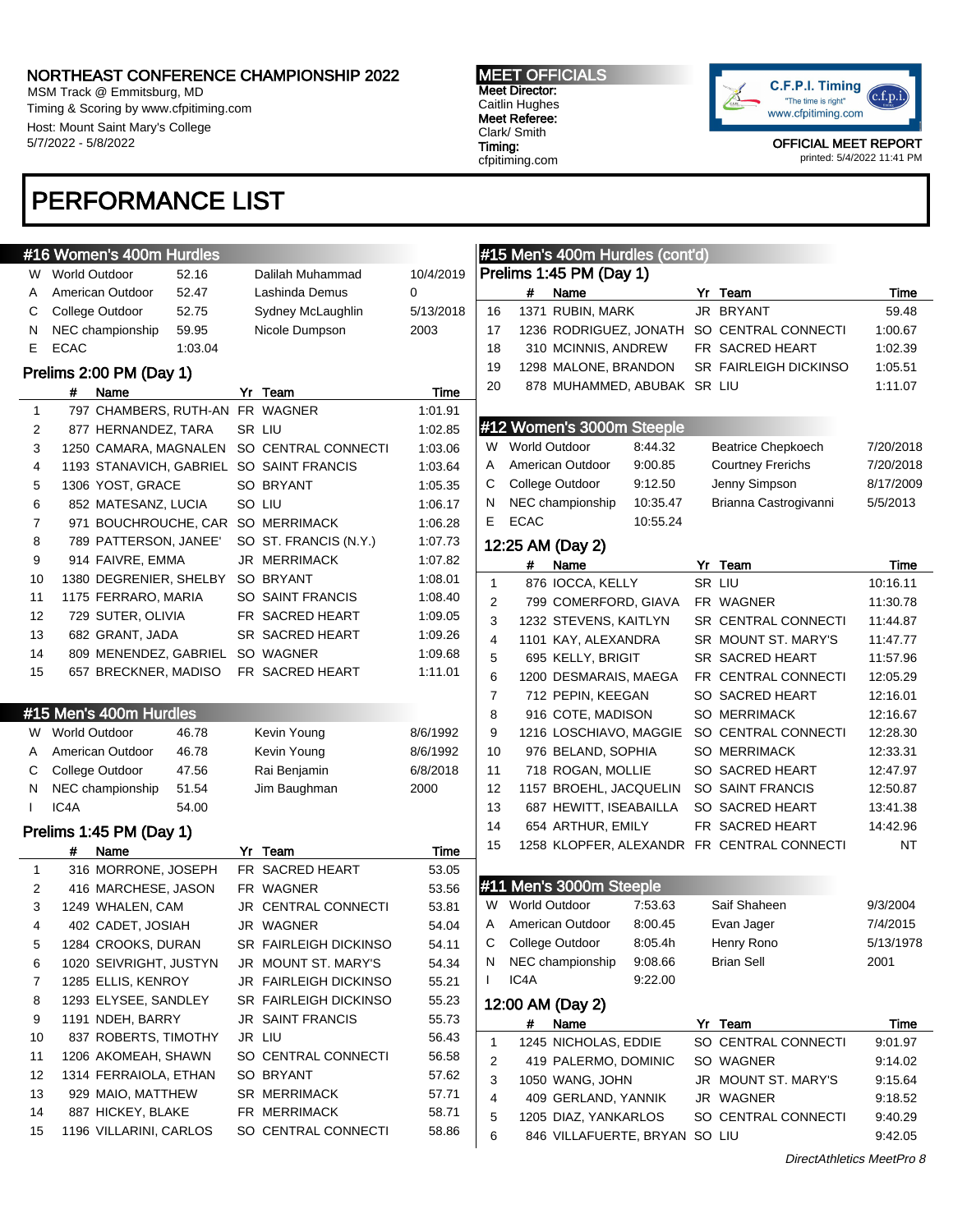MSM Track @ Emmitsburg, MD Timing & Scoring by www.cfpitiming.com Host: Mount Saint Mary's College 5/7/2022 - 5/8/2022

# PERFORMANCE LIST

#### MEET OFFICIALS Meet Director: Caitlin Hughes Meet Referee: Clark/ Smith Timing:

cfpitiming.com



OFFICIAL MEET REPORT printed: 5/4/2022 11:41 PM

> $7/20/2018$ 7/20/2018 8/17/2009  $5/5/2013$

7/4/2015  $5/13/1978$ 

|              | #16 Women's 400m Hurdles                  |                            |           |              | #15 Men's 400m Hurdles (cont'd) |          |                                            |                  |
|--------------|-------------------------------------------|----------------------------|-----------|--------------|---------------------------------|----------|--------------------------------------------|------------------|
| W.           | 52.16<br><b>World Outdoor</b>             | Dalilah Muhammad           | 10/4/2019 |              | Prelims 1:45 PM (Day 1)         |          |                                            |                  |
| A            | 52.47<br>American Outdoor                 | Lashinda Demus             | $\Omega$  |              | #<br>Name                       |          | Yr Team                                    | Time             |
| С            | 52.75<br>College Outdoor                  | Sydney McLaughlin          | 5/13/2018 | 16           | 1371 RUBIN, MARK                |          | JR BRYANT                                  | 59.48            |
| N            | 59.95<br>NEC championship                 | Nicole Dumpson             | 2003      | 17           |                                 |          | 1236 RODRIGUEZ, JONATH SO CENTRAL CONNECTI | 1:00.67          |
| E            | <b>ECAC</b><br>1:03.04                    |                            |           | 18           | 310 MCINNIS, ANDREW             |          | FR SACRED HEART                            | 1:02.39          |
|              | Prelims 2:00 PM (Day 1)                   |                            |           | 19           | 1298 MALONE, BRANDON            |          | <b>SR FAIRLEIGH DICKINSO</b>               | 1:05.51          |
|              | Name<br>#                                 | Yr Team                    | Time      | 20           | 878 MUHAMMED, ABUBAK SR LIU     |          |                                            | 1:11.07          |
| $\mathbf{1}$ | 797 CHAMBERS, RUTH-AN FR WAGNER           |                            | 1:01.91   |              |                                 |          |                                            |                  |
| 2            | 877 HERNANDEZ, TARA                       | SR LIU                     | 1:02.85   |              | #12 Women's 3000m Steeple       |          |                                            |                  |
| 3            | 1250 CAMARA, MAGNALEN SO CENTRAL CONNECTI |                            | 1:03.06   | W.           | <b>World Outdoor</b>            | 8:44.32  | <b>Beatrice Chepkoech</b>                  | 7/20/201         |
| 4            | 1193 STANAVICH, GABRIEL SO SAINT FRANCIS  |                            | 1:03.64   | A            | American Outdoor                | 9:00.85  | <b>Courtney Frerichs</b>                   | 7/20/201         |
| 5            | 1306 YOST, GRACE                          | SO BRYANT                  | 1:05.35   | C            | College Outdoor                 | 9:12.50  | Jenny Simpson                              | 8/17/200         |
| 6            | 852 MATESANZ, LUCIA                       | SO LIU                     | 1:06.17   | N            | NEC championship                | 10:35.47 | Brianna Castrogivanni                      | 5/5/2013         |
| 7            | 971 BOUCHROUCHE, CAR SO MERRIMACK         |                            | 1:06.28   | E.           | <b>ECAC</b>                     | 10:55.24 |                                            |                  |
| 8            | 789 PATTERSON, JANEE'                     | SO ST. FRANCIS (N.Y.)      | 1:07.73   |              | 12:25 AM (Day 2)                |          |                                            |                  |
| 9            | 914 FAIVRE, EMMA                          | <b>JR MERRIMACK</b>        | 1:07.82   |              | #<br>Name                       |          | Yr Team                                    |                  |
| 10           | 1380 DEGRENIER, SHELBY                    | SO BRYANT                  | 1:08.01   | 1            | 876 IOCCA, KELLY                |          | SR LIU                                     | Time<br>10:16.11 |
| 11           | 1175 FERRARO, MARIA                       | SO SAINT FRANCIS           | 1:08.40   | 2            | 799 COMERFORD, GIAVA            |          | FR WAGNER                                  | 11:30.78         |
| 12           | 729 SUTER, OLIVIA                         | FR SACRED HEART            | 1:09.05   | 3            | 1232 STEVENS, KAITLYN           |          | SR CENTRAL CONNECTI                        | 11:44.87         |
| 13           | 682 GRANT, JADA                           | SR SACRED HEART            | 1:09.26   | 4            | 1101 KAY, ALEXANDRA             |          | SR MOUNT ST. MARY'S                        | 11:47.77         |
| 14           | 809 MENENDEZ, GABRIEL                     | SO WAGNER                  | 1:09.68   | 5            | 695 KELLY, BRIGIT               |          | SR SACRED HEART                            | 11:57.96         |
| 15           | 657 BRECKNER, MADISO                      | FR SACRED HEART            | 1:11.01   | 6            | 1200 DESMARAIS, MAEGA           |          | FR CENTRAL CONNECTI                        | 12:05.29         |
|              |                                           |                            |           | 7            | 712 PEPIN, KEEGAN               |          | SO SACRED HEART                            | 12:16.01         |
|              | #15 Men's 400m Hurdles                    |                            |           | 8            | 916 COTE, MADISON               |          | <b>SO MERRIMACK</b>                        | 12:16.67         |
| W.           | <b>World Outdoor</b><br>46.78             | Kevin Young                | 8/6/1992  | 9            | 1216 LOSCHIAVO, MAGGIE          |          | SO CENTRAL CONNECTI                        | 12:28.30         |
| A            | 46.78<br>American Outdoor                 | Kevin Young                | 8/6/1992  | 10           | 976 BELAND, SOPHIA              |          | <b>SO MERRIMACK</b>                        | 12:33.31         |
| С            | College Outdoor<br>47.56                  | Rai Benjamin               | 6/8/2018  | 11           | 718 ROGAN, MOLLIE               |          | SO SACRED HEART                            | 12:47.97         |
| N            | 51.54<br>NEC championship                 | Jim Baughman               | 2000      | 12           | 1157 BROEHL, JACQUELIN          |          | SO SAINT FRANCIS                           | 12:50.87         |
| $\mathbf{I}$ | IC4A<br>54.00                             |                            |           | 13           | 687 HEWITT, ISEABAILLA          |          | SO SACRED HEART                            | 13:41.38         |
|              |                                           |                            |           | 14           | 654 ARTHUR, EMILY               |          | FR SACRED HEART                            | 14:42.96         |
|              | Prelims 1:45 PM (Day 1)                   |                            |           | 15           |                                 |          | 1258 KLOPFER, ALEXANDR FR CENTRAL CONNECTI | NT               |
|              | Name<br>#                                 | Yr Team                    | Time      |              |                                 |          |                                            |                  |
| $\mathbf{1}$ | 316 MORRONE, JOSEPH                       | FR SACRED HEART            | 53.05     |              | #11 Men's 3000m Steeple         |          |                                            |                  |
| 2            | 416 MARCHESE, JASON                       | FR WAGNER                  | 53.56     |              |                                 |          |                                            |                  |
| 3            | 1249 WHALEN, CAM                          | <b>JR CENTRAL CONNECTI</b> | 53.81     | W            | <b>World Outdoor</b>            | 7:53.63  | Saif Shaheen                               | 9/3/2004         |
| 4            | 402 CADET, JOSIAH                         | JR WAGNER                  | 54.04     | A            | American Outdoor                | 8:00.45  | Evan Jager                                 | 7/4/2015         |
| 5            | 1284 CROOKS, DURAN                        | SR FAIRLEIGH DICKINSO      | 54.11     | С            | College Outdoor                 | 8:05.4h  | Henry Rono                                 | 5/13/197         |
| 6            | 1020 SEIVRIGHT, JUSTYN                    | JR MOUNT ST. MARY'S        | 54.34     | N.           | NEC championship                | 9:08.66  | <b>Brian Sell</b>                          | 2001             |
| 7            | 1285 ELLIS, KENROY                        | JR FAIRLEIGH DICKINSO      | 55.21     | $\mathbf{L}$ | IC4A                            | 9:22.00  |                                            |                  |
| 8            | 1293 ELYSEE, SANDLEY                      | SR FAIRLEIGH DICKINSO      | 55.23     |              | 12:00 AM (Day 2)                |          |                                            |                  |
| 9            | 1191 NDEH, BARRY                          | <b>JR SAINT FRANCIS</b>    | 55.73     |              | #<br>Name                       |          | Yr Team                                    | Time             |
| 10           | 837 ROBERTS, TIMOTHY                      | JR LIU                     | 56.43     | $\mathbf{1}$ | 1245 NICHOLAS, EDDIE            |          | SO CENTRAL CONNECTI                        | 9:01.97          |
| 11           | 1206 AKOMEAH, SHAWN                       | SO CENTRAL CONNECTI        | 56.58     | 2            | 419 PALERMO, DOMINIC            |          | SO WAGNER                                  | 9:14.02          |
| 12           | 1314 FERRAIOLA, ETHAN                     | SO BRYANT                  | 57.62     | 3            | 1050 WANG, JOHN                 |          | JR MOUNT ST. MARY'S                        | 9:15.64          |
| 13           | 929 MAIO, MATTHEW                         | SR MERRIMACK               | 57.71     | 4            | 409 GERLAND, YANNIK             |          | JR WAGNER                                  | 9:18.52          |
| 14           | 887 HICKEY, BLAKE                         | FR MERRIMACK               | 58.71     | 5            | 1205 DIAZ, YANKARLOS            |          | SO CENTRAL CONNECTI                        | 9:40.29          |
| 15           | 1196 VILLARINI, CARLOS                    | SO CENTRAL CONNECTI        | 58.86     | 6            | 846 VILLAFUERTE, BRYAN SO LIU   |          |                                            | 9:42.05          |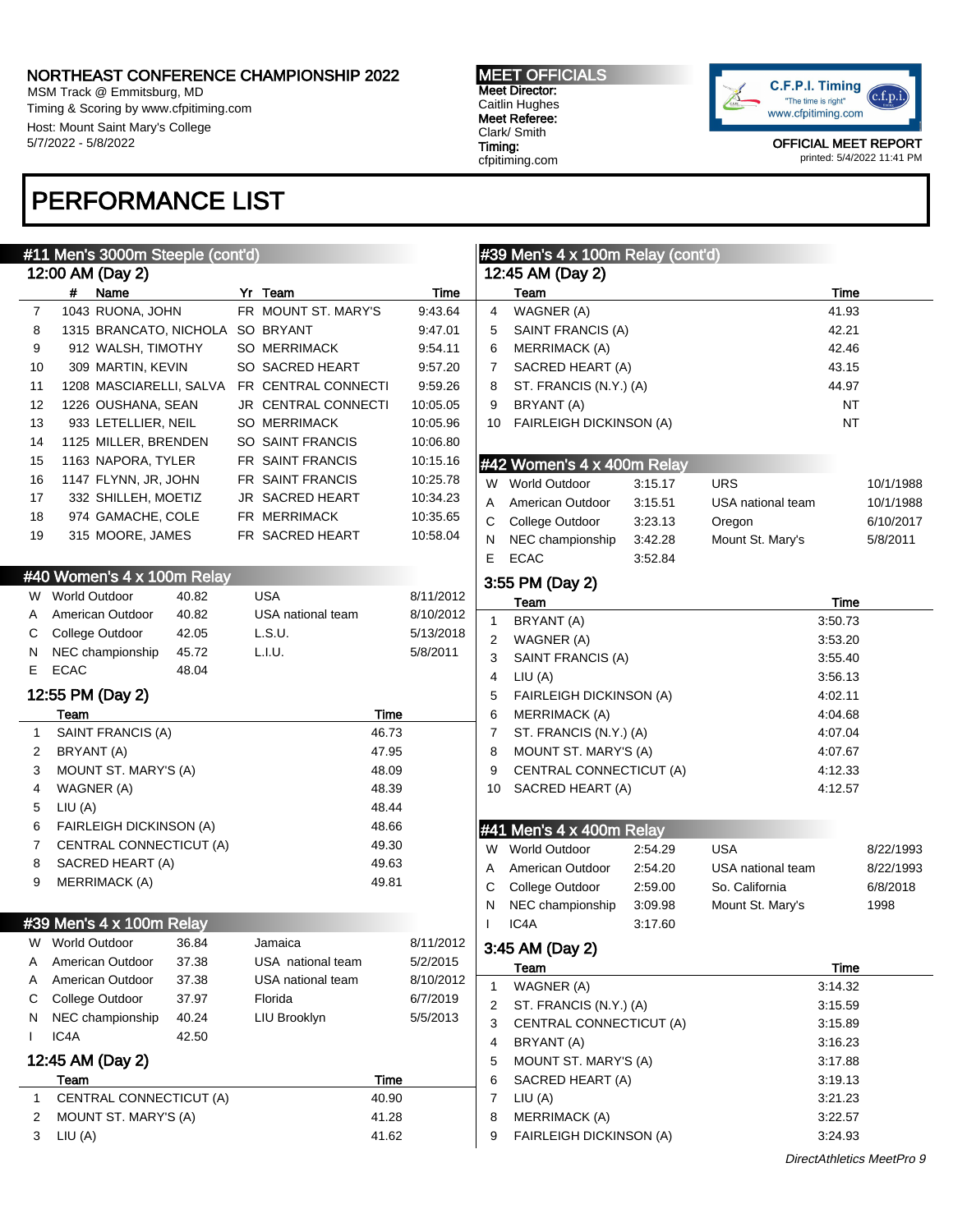MSM Track @ Emmitsburg, MD Timing & Scoring by www.cfpitiming.com Host: Mount Saint Mary's College 5/7/2022 - 5/8/2022

# PERFORMANCE LIST

#### MEET OFFICIALS Meet Director: Caitlin Hughes Meet Referee: Clark/ Smith Timing: cfpitiming.com



|              |                 | #11 Men's 3000m Steeple (cont'd) |       |                                             |       |           |              | #39 Men's 4 x 100m Relay (cont'd) |                    |                   |             |                           |
|--------------|-----------------|----------------------------------|-------|---------------------------------------------|-------|-----------|--------------|-----------------------------------|--------------------|-------------------|-------------|---------------------------|
|              |                 | 12:00 AM (Day 2)                 |       |                                             |       |           |              | 12:45 AM (Day 2)                  |                    |                   |             |                           |
|              |                 | # Name                           |       | Yr Team                                     |       | Time      |              | Team                              |                    |                   | Time        |                           |
| 7            |                 | 1043 RUONA, JOHN                 |       | FR MOUNT ST. MARY'S                         |       | 9:43.64   | 4            | WAGNER (A)                        |                    |                   | 41.93       |                           |
| 8            |                 | 1315 BRANCATO, NICHOLA SO BRYANT |       |                                             |       | 9:47.01   | 5            | SAINT FRANCIS (A)                 |                    |                   | 42.21       |                           |
| 9            |                 | 912 WALSH, TIMOTHY               |       | <b>SO MERRIMACK</b>                         |       | 9:54.11   | 6            | <b>MERRIMACK (A)</b>              |                    |                   | 42.46       |                           |
| 10           |                 | 309 MARTIN, KEVIN                |       | SO SACRED HEART                             |       | 9:57.20   | 7            | SACRED HEART (A)                  |                    |                   | 43.15       |                           |
| 11           |                 |                                  |       | 1208 MASCIARELLI, SALVA FR CENTRAL CONNECTI |       | 9:59.26   | 8            | ST. FRANCIS (N.Y.) (A)            |                    |                   | 44.97       |                           |
| 12           |                 | 1226 OUSHANA, SEAN               |       | JR CENTRAL CONNECTI                         |       | 10:05.05  | 9            | BRYANT (A)                        |                    |                   | <b>NT</b>   |                           |
| 13           |                 | 933 LETELLIER, NEIL              |       | <b>SO MERRIMACK</b>                         |       | 10:05.96  | 10           | FAIRLEIGH DICKINSON (A)           |                    |                   | <b>NT</b>   |                           |
| 14           |                 | 1125 MILLER, BRENDEN             |       | SO SAINT FRANCIS                            |       | 10:06.80  |              |                                   |                    |                   |             |                           |
| 15           |                 | 1163 NAPORA, TYLER               |       | FR SAINT FRANCIS                            |       | 10:15.16  |              | #42 Women's 4 x 400m Relay        |                    |                   |             |                           |
| 16           |                 | 1147 FLYNN, JR, JOHN             |       | FR SAINT FRANCIS                            |       | 10:25.78  |              | W World Outdoor                   | 3:15.17            | <b>URS</b>        |             | 10/1/1988                 |
| 17           |                 | 332 SHILLEH, MOETIZ              |       | JR SACRED HEART                             |       | 10:34.23  | A            | American Outdoor                  | 3:15.51            | USA national team |             | 10/1/1988                 |
| 18           |                 | 974 GAMACHE, COLE                |       | FR MERRIMACK                                |       | 10:35.65  | C            | College Outdoor                   | 3:23.13            | Oregon            |             | 6/10/2017                 |
| 19           |                 | 315 MOORE, JAMES                 |       | FR SACRED HEART                             |       | 10:58.04  |              | NEC championship                  | 3:42.28            | Mount St. Mary's  |             |                           |
|              |                 |                                  |       |                                             |       |           | N<br>E       | <b>ECAC</b>                       | 3:52.84            |                   |             | 5/8/2011                  |
|              |                 | #40 Women's 4 x 100m Relay       |       |                                             |       |           |              | 3:55 PM (Day 2)                   |                    |                   |             |                           |
|              | W World Outdoor |                                  | 40.82 | USA                                         |       | 8/11/2012 |              | Team                              |                    |                   | Time        |                           |
| A            |                 | American Outdoor                 | 40.82 | USA national team                           |       | 8/10/2012 | $\mathbf{1}$ | BRYANT (A)                        |                    |                   | 3:50.73     |                           |
| С            |                 | College Outdoor                  | 42.05 | L.S.U.                                      |       | 5/13/2018 | 2            | WAGNER (A)                        |                    |                   | 3:53.20     |                           |
| N            |                 | NEC championship                 | 45.72 | L.I.U.                                      |       | 5/8/2011  | 3            | SAINT FRANCIS (A)                 |                    |                   | 3:55.40     |                           |
| E            | <b>ECAC</b>     |                                  | 48.04 |                                             |       |           | 4            | LIU(A)                            |                    |                   | 3:56.13     |                           |
|              |                 | 12:55 PM (Day 2)                 |       |                                             |       |           | 5            | <b>FAIRLEIGH DICKINSON (A)</b>    |                    |                   | 4:02.11     |                           |
|              | Team            |                                  |       |                                             | Time  |           | 6            | <b>MERRIMACK (A)</b>              |                    |                   | 4:04.68     |                           |
| $\mathbf{1}$ |                 | SAINT FRANCIS (A)                |       |                                             | 46.73 |           | 7            | ST. FRANCIS (N.Y.) (A)            |                    |                   | 4:07.04     |                           |
| 2            | BRYANT (A)      |                                  |       |                                             | 47.95 |           | 8            | MOUNT ST. MARY'S (A)              |                    |                   | 4:07.67     |                           |
| 3            |                 | MOUNT ST. MARY'S (A)             |       |                                             | 48.09 |           | 9            | CENTRAL CONNECTICUT (A)           |                    |                   | 4:12.33     |                           |
| 4            |                 | WAGNER (A)                       |       |                                             | 48.39 |           | 10           | SACRED HEART (A)                  |                    |                   | 4:12.57     |                           |
| 5            | LIU(A)          |                                  |       |                                             | 48.44 |           |              |                                   |                    |                   |             |                           |
| 6            |                 | <b>FAIRLEIGH DICKINSON (A)</b>   |       |                                             | 48.66 |           |              | #41 Men's 4 x 400m Relay          |                    |                   |             |                           |
| 7            |                 | CENTRAL CONNECTICUT (A)          |       |                                             | 49.30 |           |              | W World Outdoor                   | 2:54.29            | <b>USA</b>        |             | 8/22/1993                 |
| 8            |                 | SACRED HEART (A)                 |       |                                             | 49.63 |           |              | American Outdoor                  | 2:54.20            | USA national team |             | 8/22/1993                 |
| 9            |                 | <b>MERRIMACK (A)</b>             |       |                                             | 49.81 |           | A            |                                   |                    | So. California    |             |                           |
|              |                 |                                  |       |                                             |       |           | С            | College Outdoor                   | 2:59.00            |                   |             | 6/8/2018                  |
|              |                 | #39 Men's 4 x 100m Relay         |       |                                             |       |           | N            | NEC championship<br>IC4A          | 3:09.98<br>3:17.60 | Mount St. Mary's  |             | 1998                      |
|              | W World Outdoor |                                  | 36.84 | Jamaica                                     |       | 8/11/2012 |              | 3:45 AM (Day 2)                   |                    |                   |             |                           |
| Α            |                 | American Outdoor                 | 37.38 | USA national team                           |       | 5/2/2015  |              | Team                              |                    |                   | <b>Time</b> |                           |
| Α            |                 | American Outdoor                 | 37.38 | USA national team                           |       | 8/10/2012 | 1            | WAGNER (A)                        |                    |                   | 3:14.32     |                           |
| С            |                 | College Outdoor                  | 37.97 | Florida                                     |       | 6/7/2019  | 2            | ST. FRANCIS (N.Y.) (A)            |                    |                   | 3:15.59     |                           |
| N            |                 | NEC championship                 | 40.24 | LIU Brooklyn                                |       | 5/5/2013  | 3            | CENTRAL CONNECTICUT (A)           |                    |                   | 3:15.89     |                           |
|              | IC4A            |                                  | 42.50 |                                             |       |           | 4            | BRYANT (A)                        |                    |                   | 3:16.23     |                           |
|              |                 | 12:45 AM (Day 2)                 |       |                                             |       |           | 5            | MOUNT ST. MARY'S (A)              |                    |                   | 3:17.88     |                           |
|              | Team            |                                  |       |                                             | Time  |           | 6            | SACRED HEART (A)                  |                    |                   | 3:19.13     |                           |
| 1            |                 | CENTRAL CONNECTICUT (A)          |       |                                             | 40.90 |           | 7            | LIU(A)                            |                    |                   | 3:21.23     |                           |
| 2            |                 | MOUNT ST. MARY'S (A)             |       |                                             | 41.28 |           | 8            | <b>MERRIMACK (A)</b>              |                    |                   | 3:22.57     |                           |
| 3            | LIU (A)         |                                  |       |                                             | 41.62 |           | 9            | FAIRLEIGH DICKINSON (A)           |                    |                   | 3:24.93     |                           |
|              |                 |                                  |       |                                             |       |           |              |                                   |                    |                   |             | DirectAthletics MeetPro 9 |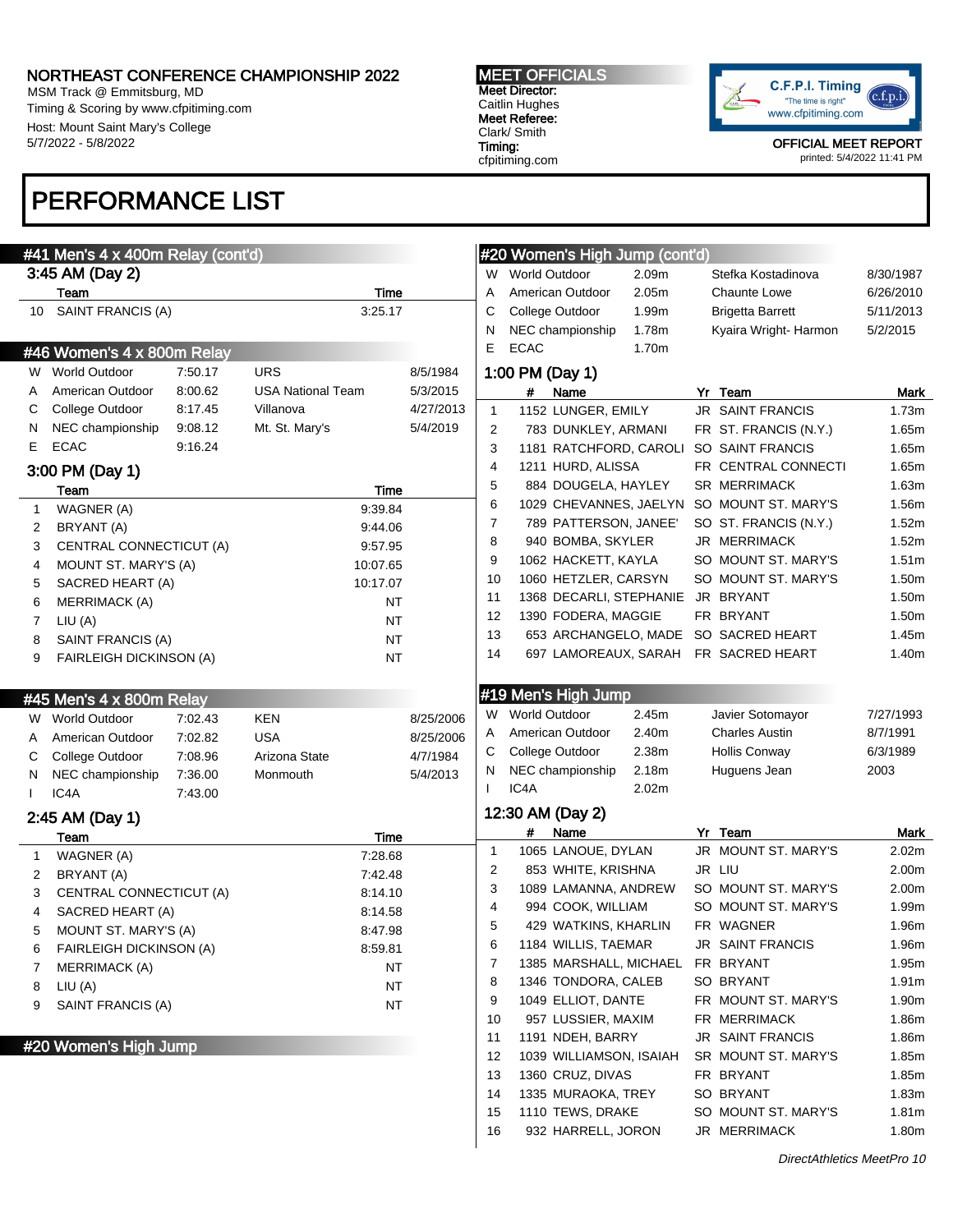MSM Track @ Emmitsburg, MD Timing & Scoring by www.cfpitiming.com Host: Mount Saint Mary's College 5/7/2022 - 5/8/2022

# PERFORMANCE LIST

#### #41 Men's 4 x 400m Relay (cont'd) 3:45 AM (Day 2) Team Time 10 SAINT FRANCIS (A) 3:25.17 #46 Women's 4 x 800m Relay W World Outdoor 7:50.17 URS 8/5/1984 A American Outdoor 8:00.62 USA National Team 5/3/2015 C College Outdoor 8:17.45 Villanova 4/27/2013 N NEC championship 9:08.12 Mt. St. Mary's 5/4/2019 E ECAC 9:16.24 3:00 PM (Day 1) Team Time 1 WAGNER (A) 9:39.84 2 BRYANT (A) 9:44.06 3 CENTRAL CONNECTICUT (A) 9:57.95 4 MOUNT ST. MARY'S (A) 10:07.65 5 SACRED HEART (A) 10:17.07 6 MERRIMACK (A) NT 7 LIU (A) NT 8 SAINT FRANCIS (A) NT 9 FAIRLEIGH DICKINSON (A) NT #45 Men's 4 x 800m Relay W World Outdoor 7:02.43 KEN 8/25/2006 A American Outdoor 7:02.82 USA 8/25/2006 C College Outdoor 7:08.96 Arizona State 4/7/1984 N NEC championship 7:36.00 Monmouth 5/4/2013 I IC4A 7:43.00 2:45 AM (Day 1) Team Time 1 WAGNER (A) 7:28.68 2 BRYANT (A) 7:42.48 3 CENTRAL CONNECTICUT (A) 8:14.10 4 SACRED HEART (A) 8:14.58 5 MOUNT ST. MARY'S (A) 8:47.98 6 FAIRLEIGH DICKINSON (A) 8:59.81 7 MERRIMACK (A) NT 8 LIU (A) NT 9 SAINT FRANCIS (A) NT #20 Women's High Jump #20 Women's High Jump (cont'd) W World Outdoor 2.09m Stefka Kostadinova 8/30/1987 A American Outdoor 2.05m Chaunte Lowe 6/26/2010 C College Outdoor 1.99m Brigetta Barrett 5/11/2013 N NEC championship 1.78m Kyaira Wright- Harmon 5/2/2015 E ECAC 1.70m 1:00 PM (Day 1) # Name Yr Team Mark 1 1152 LUNGER, EMILY JR SAINT FRANCIS 1.73m 2 783 DUNKLEY, ARMANI FR ST. FRANCIS (N.Y.) 1.65m 3 1181 RATCHFORD, CAROLI SO SAINT FRANCIS 1.65m 4 1211 HURD, ALISSA FR CENTRAL CONNECTI 1.65m 5 884 DOUGELA, HAYLEY SR MERRIMACK 1.63m 6 1029 CHEVANNES, JAELYN SO MOUNT ST. MARY'S 1.56m 7 789 PATTERSON, JANEE' SO ST. FRANCIS (N.Y.) 1.52m 8 940 BOMBA, SKYLER JR MERRIMACK 1.52m 9 1062 HACKETT, KAYLA SO MOUNT ST, MARY'S 1.51m 10 1060 HETZLER, CARSYN SO MOUNT ST. MARY'S 1.50m 11 1368 DECARLI, STEPHANIE JR BRYANT 1.50m 12 1390 FODERA, MAGGIE FR BRYANT 1.50m 13 653 ARCHANGELO, MADE SO SACRED HEART 1.45m 14 697 LAMOREAUX, SARAH FR SACRED HEART 1.40m #19 Men's High Jump W World Outdoor 2.45m Javier Sotomayor 7/27/1993 A American Outdoor 2.40m Charles Austin 8/7/1991 C College Outdoor 2.38m Hollis Conway 6/3/1989 N NEC championship 2.18m Huguens Jean 2003 I IC4A 2.02m 12:30 AM (Day 2) # Name Yr Team Mark 1 1065 LANOUE, DYLAN JR MOUNT ST. MARY'S 2.02m 2 853 WHITE, KRISHNA JR LIU 2.00m 3 1089 LAMANNA, ANDREW SO MOUNT ST. MARY'S 2.00m 4 994 COOK, WILLIAM SO MOUNT ST. MARY'S 1.99m 5 429 WATKINS, KHARLIN FR WAGNER 1.96m 6 1184 WILLIS, TAEMAR JR SAINT FRANCIS 1.96m 7 1385 MARSHALL, MICHAEL FR BRYANT 1.95m 8 1346 TONDORA, CALEB SO BRYANT 1.91m 9 1049 ELLIOT, DANTE FR MOUNT ST. MARY'S 1.90m 10 957 LUSSIER, MAXIM FR MERRIMACK 1.86m 11 1191 NDEH, BARRY JR SAINT FRANCIS 1.86m 12 1039 WILLIAMSON, ISAIAH SR MOUNT ST, MARY'S 1.85m 13 1360 CRUZ, DIVAS FR BRYANT 1.85m 14 1335 MURAOKA, TREY SO BRYANT 1.83m 15 1110 TEWS, DRAKE SO MOUNT ST. MARY'S 1.81m

DirectAthletics MeetPro 10

16 932 HARRELL, JORON JR MERRIMACK 1.80m



OFFICIAL MEET REPORT printed: 5/4/2022 11:41 PM

 $c.f.p.i$ 

Meet Director: Caitlin Hughes Meet Referee: Clark/ Smith

Timing: cfpitiming.com

MEET OFFICIALS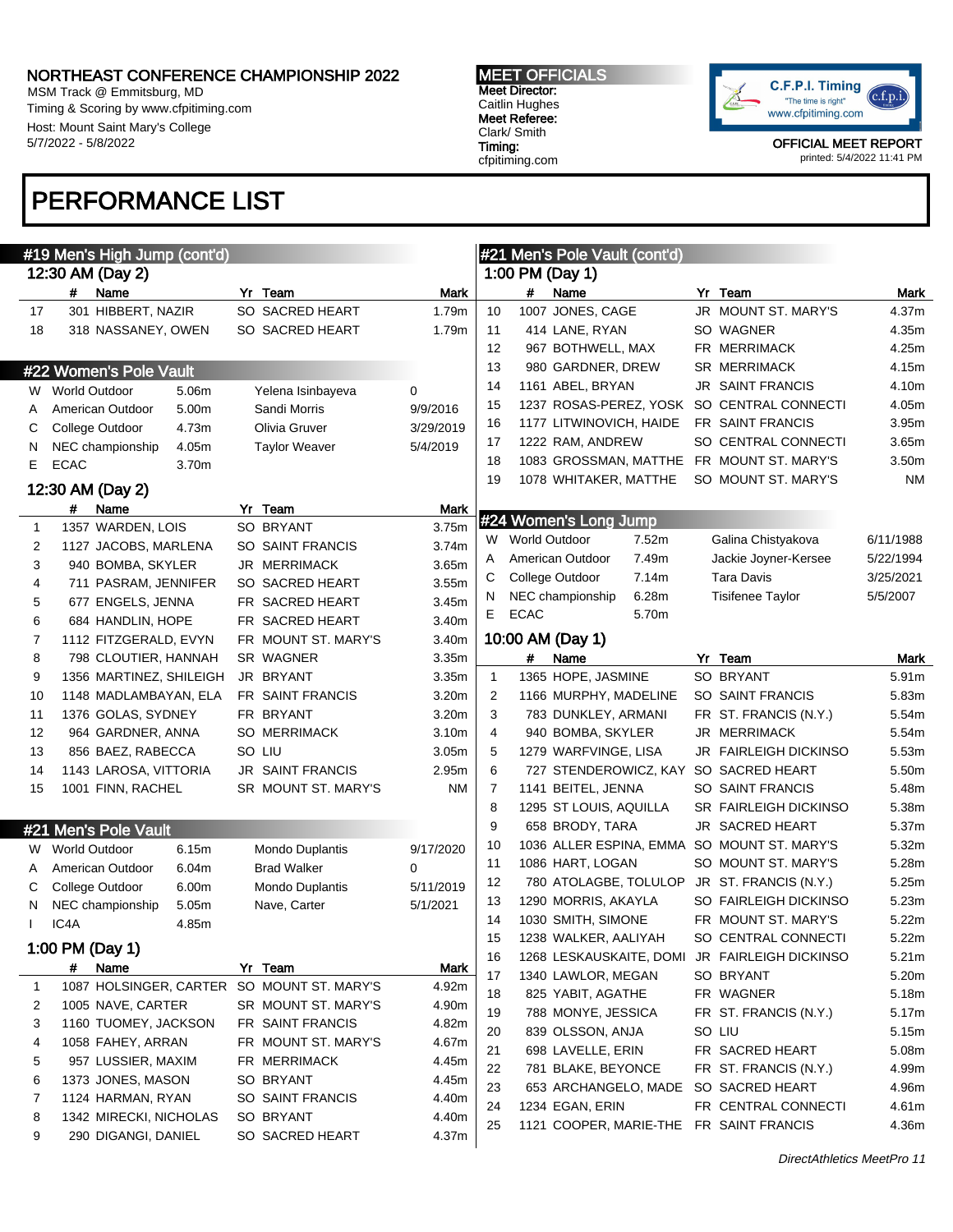MSM Track @ Emmitsburg, MD Timing & Scoring by www.cfpitiming.com Host: Mount Saint Mary's College 5/7/2022 - 5/8/2022

# PERFORMANCE LIST

MEET OFFICIALS Meet Director: Caitlin Hughes Meet Referee: Clark/ Smith Timing: cfpitiming.com



OFFICIAL MEET REPORT printed: 5/4/2022 11:41 PM

|              | #19 Men's High Jump (cont'd) |                         |             |                |                 | #21 Men's Pole Vault (cont'd) |       |                                               |                   |
|--------------|------------------------------|-------------------------|-------------|----------------|-----------------|-------------------------------|-------|-----------------------------------------------|-------------------|
|              | 12:30 AM (Day 2)             |                         |             |                |                 | 1:00 PM (Day 1)               |       |                                               |                   |
|              | #<br>Name                    | Yr Team                 | Mark        |                | #               | Name                          |       | Yr Team                                       | Mark              |
| 17           | 301 HIBBERT, NAZIR           | SO SACRED HEART         | 1.79m       | 10             |                 | 1007 JONES, CAGE              |       | JR MOUNT ST. MARY'S                           | 4.37m             |
| 18           | 318 NASSANEY, OWEN           | SO SACRED HEART         | 1.79m       | 11             |                 | 414 LANE, RYAN                |       | SO WAGNER                                     | 4.35m             |
|              |                              |                         |             | 12             |                 | 967 BOTHWELL, MAX             |       | FR MERRIMACK                                  | 4.25m             |
|              | #22 Women's Pole Vault       |                         |             | 13             |                 | 980 GARDNER, DREW             |       | <b>SR MERRIMACK</b>                           | 4.15m             |
|              | W World Outdoor<br>5.06m     | Yelena Isinbayeva       | 0           | 14             |                 | 1161 ABEL, BRYAN              |       | <b>JR SAINT FRANCIS</b>                       | 4.10m             |
| A            | 5.00m<br>American Outdoor    | Sandi Morris            | 9/9/2016    | 15             |                 |                               |       | 1237 ROSAS-PEREZ, YOSK SO CENTRAL CONNECTI    | 4.05m             |
| С            | College Outdoor<br>4.73m     | Olivia Gruver           | 3/29/2019   | 16             |                 | 1177 LITWINOVICH, HAIDE       |       | FR SAINT FRANCIS                              | 3.95m             |
| N            | 4.05m<br>NEC championship    | <b>Taylor Weaver</b>    | 5/4/2019    | 17             |                 | 1222 RAM, ANDREW              |       | SO CENTRAL CONNECTI                           | 3.65m             |
| E.           | <b>ECAC</b><br>3.70m         |                         |             | 18             |                 |                               |       | 1083 GROSSMAN, MATTHE FR MOUNT ST. MARY'S     | 3.50m             |
|              |                              |                         |             | 19             |                 | 1078 WHITAKER, MATTHE         |       | SO MOUNT ST. MARY'S                           | ΝM                |
|              | 12:30 AM (Day 2)             |                         |             |                |                 |                               |       |                                               |                   |
|              | #<br>Name                    | Yr Team                 | Mark        |                |                 | #24 Women's Long Jump         |       |                                               |                   |
| $\mathbf{1}$ | 1357 WARDEN, LOIS            | SO BRYANT               | 3.75m       |                | W World Outdoor |                               | 7.52m | Galina Chistyakova                            | 6/11/1988         |
| 2            | 1127 JACOBS, MARLENA         | SO SAINT FRANCIS        | 3.74m       | A              |                 | American Outdoor              | 7.49m | Jackie Joyner-Kersee                          | 5/22/1994         |
| 3            | 940 BOMBA, SKYLER            | <b>JR MERRIMACK</b>     | 3.65m       | С              |                 | College Outdoor               | 7.14m | Tara Davis                                    | 3/25/2021         |
| 4            | 711 PASRAM, JENNIFER         | SO SACRED HEART         | 3.55m       | N              |                 | NEC championship              | 6.28m | Tisifenee Taylor                              | 5/5/2007          |
| 5            | 677 ENGELS, JENNA            | FR SACRED HEART         | 3.45m       | E.             | <b>ECAC</b>     |                               | 5.70m |                                               |                   |
| 6            | 684 HANDLIN, HOPE            | FR SACRED HEART         | 3.40m       |                |                 |                               |       |                                               |                   |
| 7            | 1112 FITZGERALD, EVYN        | FR MOUNT ST. MARY'S     | 3.40m       |                |                 | 10:00 AM (Day 1)              |       |                                               |                   |
| 8            | 798 CLOUTIER, HANNAH         | SR WAGNER               | 3.35m       |                | #               | Name                          |       | Yr Team                                       | Mark              |
| 9            | 1356 MARTINEZ, SHILEIGH      | JR BRYANT               | 3.35m       | 1              |                 | 1365 HOPE, JASMINE            |       | SO BRYANT                                     | 5.91m             |
| 10           | 1148 MADLAMBAYAN, ELA        | <b>FR SAINT FRANCIS</b> | 3.20m       | 2              |                 | 1166 MURPHY, MADELINE         |       | SO SAINT FRANCIS                              | 5.83m             |
| 11           | 1376 GOLAS, SYDNEY           | FR BRYANT               | 3.20m       | 3              |                 | 783 DUNKLEY, ARMANI           |       | FR ST. FRANCIS (N.Y.)                         | 5.54m             |
| 12           | 964 GARDNER, ANNA            | <b>SO MERRIMACK</b>     | 3.10m       | $\overline{4}$ |                 | 940 BOMBA, SKYLER             |       | JR MERRIMACK                                  | 5.54m             |
| 13           | 856 BAEZ, RABECCA            | SO LIU                  | 3.05m       | 5              |                 | 1279 WARFVINGE, LISA          |       | <b>JR FAIRLEIGH DICKINSO</b>                  | 5.53m             |
| 14           | 1143 LAROSA, VITTORIA        | <b>JR SAINT FRANCIS</b> | 2.95m       | 6              |                 |                               |       | 727 STENDEROWICZ, KAY SO SACRED HEART         | 5.50m             |
| 15           | 1001 FINN, RACHEL            | SR MOUNT ST. MARY'S     | ΝM          | 7              |                 | 1141 BEITEL, JENNA            |       | SO SAINT FRANCIS                              | 5.48m             |
|              |                              |                         |             | 8              |                 | 1295 ST LOUIS, AQUILLA        |       | <b>SR FAIRLEIGH DICKINSO</b>                  | 5.38m             |
|              | #21 Men's Pole Vault         |                         |             | 9              |                 | 658 BRODY, TARA               |       | JR SACRED HEART                               | 5.37m             |
|              | 6.15m<br>W World Outdoor     | Mondo Duplantis         | 9/17/2020   | 10             |                 |                               |       | 1036 ALLER ESPINA, EMMA SO MOUNT ST. MARY'S   | 5.32m             |
| A            | 6.04m<br>American Outdoor    | <b>Brad Walker</b>      | 0           | 11             |                 | 1086 HART, LOGAN              |       | SO MOUNT ST. MARY'S                           | 5.28m             |
| С            | College Outdoor<br>6.00m     | <b>Mondo Duplantis</b>  | 5/11/2019   | 12             |                 |                               |       | 780 ATOLAGBE, TOLULOP JR ST. FRANCIS (N.Y.)   | 5.25m             |
| N            | 5.05m<br>NEC championship    | Nave, Carter            | 5/1/2021    | 13             |                 | 1290 MORRIS, AKAYLA           |       | SO FAIRLEIGH DICKINSO                         | 5.23m             |
|              | IC4A<br>4.85m                |                         |             | 14             |                 | 1030 SMITH, SIMONE            |       | FR MOUNT ST. MARY'S                           | 5.22m             |
|              | 1:00 PM (Day 1)              |                         |             | 15             |                 | 1238 WALKER, AALIYAH          |       | SO CENTRAL CONNECTI                           | 5.22m             |
|              | Name                         | Yr Team                 | <b>Mark</b> | 16             |                 |                               |       | 1268 LESKAUSKAITE, DOMI JR FAIRLEIGH DICKINSO | 5.21 <sub>m</sub> |
|              | #                            |                         |             | 17             |                 | 1340 LAWLOR, MEGAN            |       | SO BRYANT                                     | 5.20m             |
| $\mathbf{1}$ | 1087 HOLSINGER, CARTER       | SO MOUNT ST. MARY'S     | 4.92m       | 18             |                 | 825 YABIT, AGATHE             |       | FR WAGNER                                     | 5.18m             |
| 2            | 1005 NAVE, CARTER            | SR MOUNT ST. MARY'S     | 4.90m       | 19             |                 | 788 MONYE, JESSICA            |       | FR ST. FRANCIS (N.Y.)                         | 5.17m             |
| 3            | 1160 TUOMEY, JACKSON         | FR SAINT FRANCIS        | 4.82m       | 20             |                 | 839 OLSSON, ANJA              |       | SO LIU                                        | 5.15m             |
| 4            | 1058 FAHEY, ARRAN            | FR MOUNT ST. MARY'S     | 4.67m       | 21             |                 | 698 LAVELLE, ERIN             |       | FR SACRED HEART                               | 5.08m             |
| 5            | 957 LUSSIER, MAXIM           | FR MERRIMACK            | 4.45m       | 22             |                 | 781 BLAKE, BEYONCE            |       | FR ST. FRANCIS (N.Y.)                         | 4.99m             |
| 6            | 1373 JONES, MASON            | SO BRYANT               | 4.45m       | 23             |                 |                               |       | 653 ARCHANGELO, MADE SO SACRED HEART          | 4.96m             |
| 7            | 1124 HARMAN, RYAN            | SO SAINT FRANCIS        | 4.40m       | 24             |                 | 1234 EGAN, ERIN               |       | FR CENTRAL CONNECTI                           | 4.61m             |
| 8            | 1342 MIRECKI, NICHOLAS       | SO BRYANT               | 4.40m       | 25             |                 |                               |       | 1121 COOPER, MARIE-THE FR SAINT FRANCIS       | 4.36m             |
| 9            | 290 DIGANGI, DANIEL          | SO SACRED HEART         | 4.37m       |                |                 |                               |       |                                               |                   |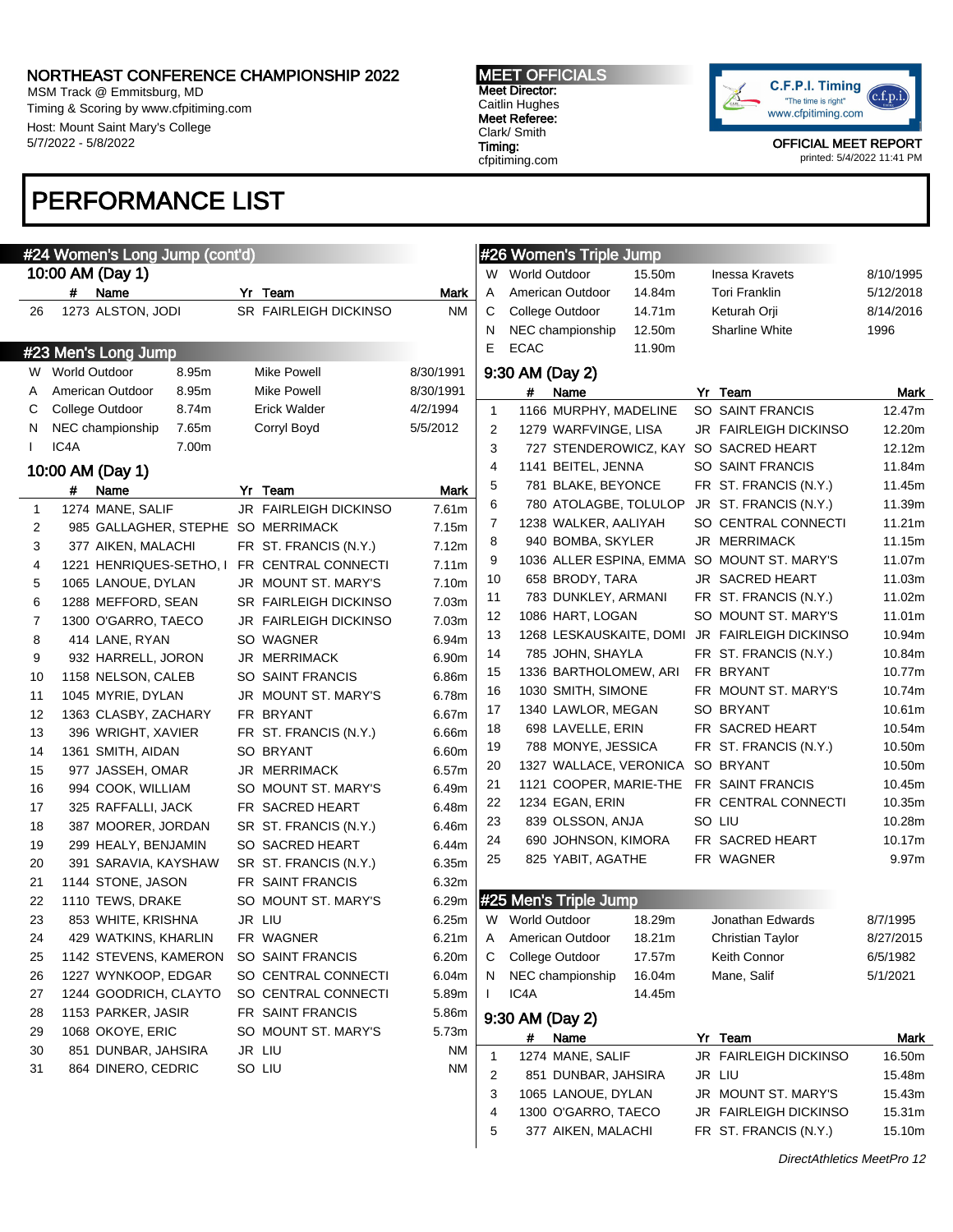MSM Track @ Emmitsburg, MD Timing & Scoring by www.cfpitiming.com Host: Mount Saint Mary's College 5/7/2022 - 5/8/2022

# PERFORMANCE LIST

# #24 Women's Long Jump (cont'd) 10:00 AM (Day 1) # Name Yr Team Mark 26 1273 ALSTON, JODI SR FAIRLEIGH DICKINSO NM #23 Men's Long Jump W World Outdoor 8.95m Mike Powell 8/30/1991 A American Outdoor 8.95m Mike Powell 8/30/1991 C College Outdoor 8.74m Erick Walder 4/2/1994 N NEC championship 7.65m Corryl Boyd 5/5/2012 I IC4A 7.00m 10:00 AM (Day 1) # Name Yr Team Mark 1 1274 MANE, SALIF JR FAIRLEIGH DICKINSO 7.61m 2 985 GALLAGHER, STEPHE SO MERRIMACK 7.15m 3 377 AIKEN, MALACHI FR ST. FRANCIS (N.Y.) 7.12m 4 1221 HENRIQUES-SETHO, I FR CENTRAL CONNECTI 7.11m 5 1065 LANOUE, DYLAN JR MOUNT ST. MARY'S 7.10m 6 1288 MEFFORD, SEAN SR FAIRLEIGH DICKINSO 7.03m 7 1300 O'GARRO, TAECO JR FAIRLEIGH DICKINSO 7.03m 8 414 LANE, RYAN SO WAGNER 6.94m 9 932 HARRELL, JORON JR MERRIMACK 6.90m 10 1158 NELSON, CALEB SO SAINT FRANCIS 6.86m 11 1045 MYRIE, DYLAN JR MOUNT ST. MARY'S 6.78m 12 1363 CLASBY, ZACHARY FR BRYANT 6.67m 13 396 WRIGHT, XAVIER FR ST. FRANCIS (N.Y.) 6.66m 14 1361 SMITH, AIDAN SO BRYANT 6.60m 15 977 JASSEH, OMAR JR MERRIMACK 6.57m 16 994 COOK, WILLIAM SO MOUNT ST. MARY'S 6.49m 17 325 RAFFALLI, JACK FR SACRED HEART 6.48m 18 387 MOORER, JORDAN SR ST. FRANCIS (N.Y.) 6.46m 19 299 HEALY, BENJAMIN SO SACRED HEART 6.44m 20 391 SARAVIA, KAYSHAW SR ST. FRANCIS (N.Y.) 6.35m 21 1144 STONE, JASON FR SAINT FRANCIS 6.32m 22 1110 TEWS, DRAKE SO MOUNT ST. MARY'S 6.29m 23 853 WHITE, KRISHNA JR LIU 6.25m 24 429 WATKINS, KHARLIN FR WAGNER 6.21m 25 1142 STEVENS, KAMERON SO SAINT FRANCIS 6.20m 26 1227 WYNKOOP, EDGAR SO CENTRAL CONNECTI 6.04m 27 1244 GOODRICH, CLAYTO SO CENTRAL CONNECTI 5.89m 28 1153 PARKER, JASIR FR SAINT FRANCIS 5.86m 29 1068 OKOYE, ERIC SO MOUNT ST. MARY'S 5.73m 30 851 DUNBAR, JAHSIRA JR LIU NM 31 864 DINERO, CEDRIC SO LIU NM #26 Women's Triple Jump

MEET OFFICIALS Meet Director: Caitlin Hughes Meet Referee:

Clark/ Smith Timing: cfpitiming.com



OFFICIAL MEET REPORT printed: 5/4/2022 11:41 PM

# C College Outdoor 14.71m Keturah Orji 8/14/2016 N NEC championship 12.50m Sharline White 1996 E ECAC 11.90m 9:30 AM (Day 2) # Name Yr Team Mark 1 1166 MURPHY, MADELINE SO SAINT FRANCIS 12.47m 2 1279 WARFVINGE, LISA JR FAIRLEIGH DICKINSO 12.20m 3 727 STENDEROWICZ, KAY SO SACRED HEART 12.12m 4 1141 BEITEL, JENNA SO SAINT FRANCIS 11.84m 5 781 BLAKE, BEYONCE FR ST. FRANCIS (N.Y.) 11.45m 6 780 ATOLAGBE, TOLULOP JR ST. FRANCIS (N.Y.) 11.39m 7 1238 WALKER, AALIYAH SO CENTRAL CONNECTI 11.21m 8 940 BOMBA, SKYLER JR MERRIMACK 11.15m 9 1036 ALLER ESPINA, EMMA SO MOUNT ST, MARY'S 11.07m 10 658 BRODY, TARA JR SACRED HEART 11.03m 11 783 DUNKLEY, ARMANI FR ST. FRANCIS (N.Y.) 11.02m 12 1086 HART, LOGAN SO MOUNT ST. MARY'S 11.01m 13 1268 LESKAUSKAITE, DOMI JR FAIRLEIGH DICKINSO 10.94m 14 785 JOHN, SHAYLA FR ST. FRANCIS (N.Y.) 10.84m 15 1336 BARTHOLOMEW, ARI FR BRYANT 10.77m 16 1030 SMITH, SIMONE FR MOUNT ST, MARY'S 10.74m 17 1340 LAWLOR, MEGAN SO BRYANT 10.61m 18 698 LAVELLE, ERIN FR SACRED HEART 10.54m 19 788 MONYE, JESSICA FR ST. FRANCIS (N.Y.) 10.50m 20 1327 WALLACE, VERONICA SO BRYANT 10.50m 21 1121 COOPER, MARIE-THE FR SAINT FRANCIS 10.45m 22 1234 EGAN, ERIN FR CENTRAL CONNECTI 10.35m 23 839 OLSSON, ANJA SO LIU 10.28m 24 690 JOHNSON, KIMORA FR SACRED HEART 10.17m 25 825 YABIT, AGATHE FR WAGNER 9.97m #25 Men's Triple Jump W World Outdoor 18.29m Jonathan Edwards 8/7/1995 A American Outdoor 18.21m Christian Taylor 8/27/2015 C College Outdoor 17.57m Keith Connor 6/5/1982 N NEC championship 16.04m Mane, Salif 5/1/2021 I IC4A 14.45m 9:30 AM (Day 2) # Name Yr Team Mark 1 1274 MANE, SALIF JR FAIRLEIGH DICKINSO 16.50m 2 851 DUNBAR, JAHSIRA JR LIU 15.48m 3 1065 LANOUE, DYLAN JR MOUNT ST. MARY'S 15.43m 4 1300 O'GARRO, TAECO JR FAIRLEIGH DICKINSO 15.31m

5 377 AIKEN, MALACHI FR ST. FRANCIS (N.Y.) 15.10m

W World Outdoor 15.50m Inessa Kravets 8/10/1995 A American Outdoor 14.84m Tori Franklin 5/12/2018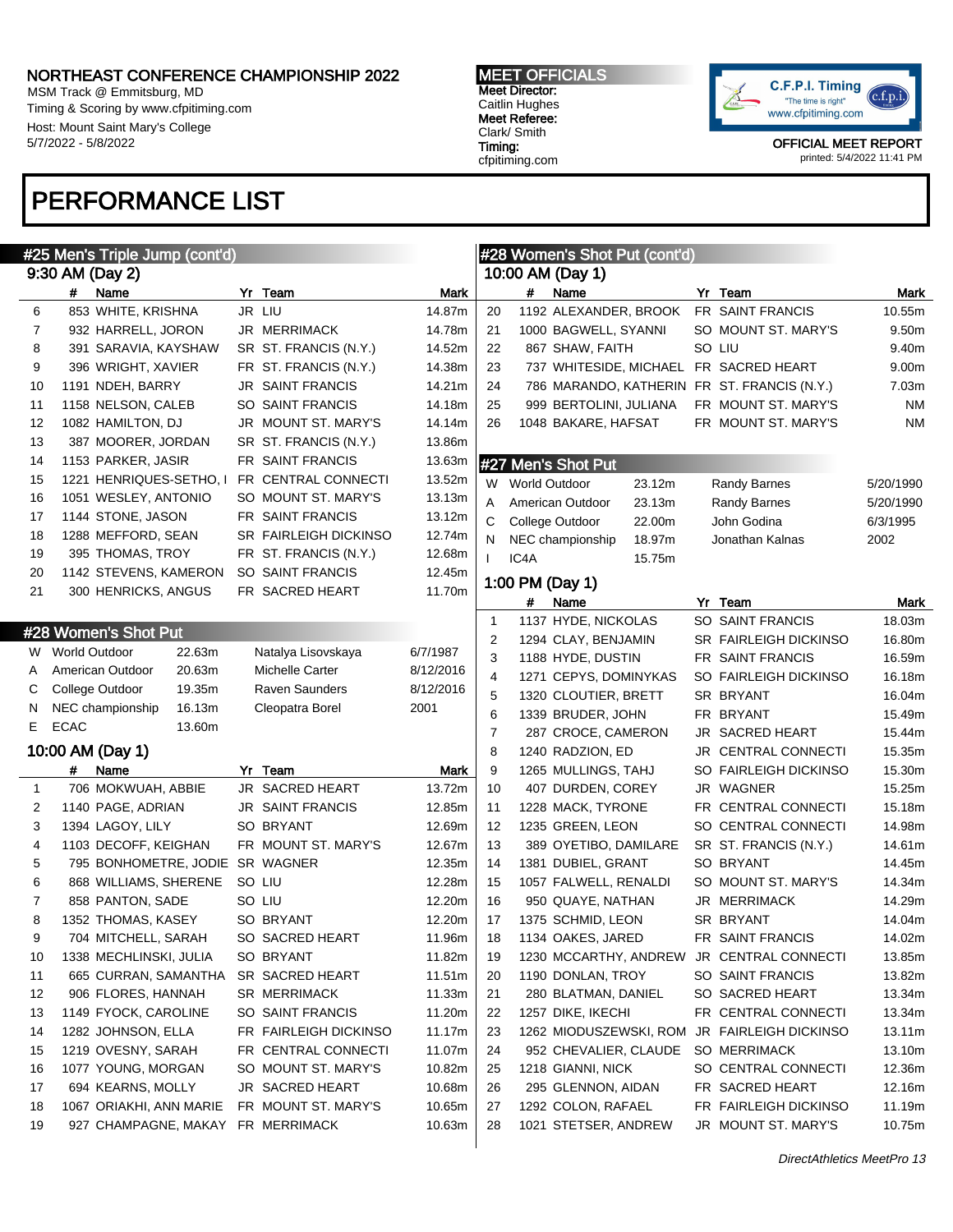MSM Track @ Emmitsburg, MD Timing & Scoring by www.cfpitiming.com Host: Mount Saint Mary's College 5/7/2022 - 5/8/2022

# PERFORMANCE LIST

MEET OFFICIALS Meet Director: Caitlin Hughes Meet Referee: Clark/ Smith Timing: cfpitiming.com



|              |             | #25 Men's Triple Jump (cont'd)  |        |                                   |           |                |                      | #28 Women's Shot Put (cont'd) |        |                                              |           |
|--------------|-------------|---------------------------------|--------|-----------------------------------|-----------|----------------|----------------------|-------------------------------|--------|----------------------------------------------|-----------|
|              |             | 9:30 AM (Day 2)                 |        |                                   |           |                |                      | 10:00 AM (Day 1)              |        |                                              |           |
|              | #           | Name                            |        | Yr Team                           | Mark      |                | #                    | Name                          |        | Yr Team                                      | Mark      |
| 6            |             | 853 WHITE, KRISHNA              |        | JR LIU                            | 14.87m    | 20             |                      | 1192 ALEXANDER, BROOK         |        | FR SAINT FRANCIS                             | 10.55m    |
| 7            |             | 932 HARRELL, JORON              |        | JR MERRIMACK                      | 14.78m    | 21             |                      | 1000 BAGWELL, SYANNI          |        | SO MOUNT ST. MARY'S                          | 9.50m     |
| 8            |             | 391 SARAVIA, KAYSHAW            |        | SR ST. FRANCIS (N.Y.)             | 14.52m    | 22             |                      | 867 SHAW, FAITH               |        | SO LIU                                       | 9.40m     |
| 9            |             | 396 WRIGHT, XAVIER              |        | FR ST. FRANCIS (N.Y.)             | 14.38m    | 23             |                      |                               |        | 737 WHITESIDE, MICHAEL FR SACRED HEART       | 9.00m     |
| 10           |             | 1191 NDEH, BARRY                |        | JR SAINT FRANCIS                  | 14.21m    | 24             |                      |                               |        | 786 MARANDO, KATHERIN FR ST. FRANCIS (N.Y.)  | 7.03m     |
| 11           |             | 1158 NELSON, CALEB              |        | <b>SO SAINT FRANCIS</b>           | 14.18m    | 25             |                      | 999 BERTOLINI, JULIANA        |        | FR MOUNT ST. MARY'S                          | NM        |
| 12           |             | 1082 HAMILTON, DJ               |        | JR MOUNT ST. MARY'S               | 14.14m    | 26             |                      | 1048 BAKARE, HAFSAT           |        | FR MOUNT ST. MARY'S                          | ΝM        |
| 13           |             | 387 MOORER, JORDAN              |        | SR ST. FRANCIS (N.Y.)             | 13.86m    |                |                      |                               |        |                                              |           |
| 14           |             | 1153 PARKER, JASIR              |        | FR SAINT FRANCIS                  | 13.63m    |                |                      | #27 Men's Shot Put            |        |                                              |           |
| 15           |             | 1221 HENRIQUES-SETHO, I         |        | FR CENTRAL CONNECTI               | 13.52m    | W              | <b>World Outdoor</b> |                               | 23.12m | Randy Barnes                                 | 5/20/1990 |
| 16           |             | 1051 WESLEY, ANTONIO            |        | SO MOUNT ST. MARY'S               | 13.13m    | Α              |                      | American Outdoor              | 23.13m | Randy Barnes                                 | 5/20/1990 |
| 17           |             | 1144 STONE, JASON               |        | FR SAINT FRANCIS                  | 13.12m    | С              |                      | College Outdoor               | 22.00m | John Godina                                  | 6/3/1995  |
| 18           |             | 1288 MEFFORD, SEAN              |        | <b>SR FAIRLEIGH DICKINSO</b>      | 12.74m    | Ν              |                      | NEC championship              | 18.97m | Jonathan Kalnas                              | 2002      |
| 19           |             | 395 THOMAS, TROY                |        | FR ST. FRANCIS (N.Y.)             | 12.68m    | $\mathbf{I}$   | IC <sub>4</sub> A    |                               | 15.75m |                                              |           |
| 20           |             | 1142 STEVENS, KAMERON           |        | SO SAINT FRANCIS                  | 12.45m    |                |                      |                               |        |                                              |           |
| 21           |             | 300 HENRICKS, ANGUS             |        | FR SACRED HEART                   | 11.70m    |                |                      | 1:00 PM (Day 1)               |        |                                              |           |
|              |             |                                 |        |                                   |           |                | #                    | Name                          |        | Yr Team                                      | Mark      |
|              |             | #28 Women's Shot Put            |        |                                   |           | $\mathbf{1}$   |                      | 1137 HYDE, NICKOLAS           |        | SO SAINT FRANCIS                             | 18.03m    |
| W            |             | <b>World Outdoor</b>            | 22.63m | Natalya Lisovskaya                | 6/7/1987  | 2              |                      | 1294 CLAY, BENJAMIN           |        | SR FAIRLEIGH DICKINSO                        | 16.80m    |
| A            |             | American Outdoor                | 20.63m | Michelle Carter                   | 8/12/2016 | 3              |                      | 1188 HYDE, DUSTIN             |        | FR SAINT FRANCIS                             | 16.59m    |
| C            |             | College Outdoor                 | 19.35m | <b>Raven Saunders</b>             | 8/12/2016 | $\overline{4}$ |                      | 1271 CEPYS, DOMINYKAS         |        | SO FAIRLEIGH DICKINSO                        | 16.18m    |
| N            |             | NEC championship                | 16.13m | Cleopatra Borel                   | 2001      | 5              |                      | 1320 CLOUTIER, BRETT          |        | SR BRYANT                                    | 16.04m    |
| E.           | <b>ECAC</b> |                                 | 13.60m |                                   |           | 6              |                      | 1339 BRUDER, JOHN             |        | FR BRYANT                                    | 15.49m    |
|              |             |                                 |        |                                   |           | 7              |                      | 287 CROCE, CAMERON            |        | JR SACRED HEART                              | 15.44m    |
|              |             | 10:00 AM (Day 1)                |        |                                   |           | 8              |                      | 1240 RADZION, ED              |        | JR CENTRAL CONNECTI                          | 15.35m    |
|              | #           | Name                            |        | Yr Team                           | Mark      | 9              |                      | 1265 MULLINGS, TAHJ           |        | SO FAIRLEIGH DICKINSO                        | 15.30m    |
| $\mathbf{1}$ |             | 706 MOKWUAH, ABBIE              |        | <b>JR SACRED HEART</b>            | 13.72m    | 10             |                      | 407 DURDEN, COREY             |        | JR WAGNER                                    | 15.25m    |
| 2            |             | 1140 PAGE, ADRIAN               |        | <b>JR SAINT FRANCIS</b>           | 12.85m    | 11             |                      | 1228 MACK, TYRONE             |        | FR CENTRAL CONNECTI                          | 15.18m    |
| 3            |             | 1394 LAGOY, LILY                |        | SO BRYANT                         | 12.69m    | 12             |                      | 1235 GREEN, LEON              |        | SO CENTRAL CONNECTI                          | 14.98m    |
| 4            |             | 1103 DECOFF, KEIGHAN            |        | FR MOUNT ST. MARY'S               | 12.67m    | 13             |                      | 389 OYETIBO, DAMILARE         |        | SR ST. FRANCIS (N.Y.)                        | 14.61m    |
| 5            |             | 795 BONHOMETRE, JODIE SR WAGNER |        |                                   | 12.35m    | 14             |                      | 1381 DUBIEL, GRANT            |        | SO BRYANT                                    | 14.45m    |
| 6            |             | 868 WILLIAMS, SHERENE           |        | SO LIU                            | 12.28m    | 15             |                      | 1057 FALWELL, RENALDI         |        | SO MOUNT ST. MARY'S                          | 14.34m    |
| 7            |             | 858 PANTON, SADE                |        | SO LIU                            | 12.20m    | 16             |                      | 950 QUAYE, NATHAN             |        | JR MERRIMACK                                 | 14.29m    |
| 8            |             | 1352 THOMAS, KASEY              |        | SO BRYANT                         | 12.20m    | 17             |                      | 1375 SCHMID, LEON             |        | SR BRYANT                                    | 14.04m    |
| 9            |             | 704 MITCHELL, SARAH             |        | SO SACRED HEART                   | 11.96m    | 18             |                      | 1134 OAKES, JARED             |        | FR SAINT FRANCIS                             | 14.02m    |
| 10           |             | 1338 MECHLINSKI, JULIA          |        | SO BRYANT                         | 11.82m    | 19             |                      |                               |        | 1230 MCCARTHY, ANDREW JR CENTRAL CONNECTI    | 13.85m    |
| 11           |             | 665 CURRAN, SAMANTHA            |        | SR SACRED HEART                   | 11.51m    | 20             |                      | 1190 DONLAN, TROY             |        | SO SAINT FRANCIS                             | 13.82m    |
| 12           |             | 906 FLORES, HANNAH              |        | <b>SR MERRIMACK</b>               | 11.33m    | 21             |                      | 280 BLATMAN, DANIEL           |        | SO SACRED HEART                              | 13.34m    |
| 13           |             | 1149 FYOCK, CAROLINE            |        | SO SAINT FRANCIS                  | 11.20m    | 22             |                      | 1257 DIKE, IKECHI             |        | FR CENTRAL CONNECTI                          | 13.34m    |
| 14           |             | 1282 JOHNSON, ELLA              |        | FR FAIRLEIGH DICKINSO             | 11.17m    | 23             |                      |                               |        | 1262 MIODUSZEWSKI, ROM JR FAIRLEIGH DICKINSO | 13.11m    |
| 15           |             | 1219 OVESNY, SARAH              |        | FR CENTRAL CONNECTI               | 11.07m    | 24             |                      |                               |        | 952 CHEVALIER, CLAUDE SO MERRIMACK           | 13.10m    |
| 16           |             | 1077 YOUNG, MORGAN              |        | SO MOUNT ST. MARY'S               | 10.82m    | 25             |                      | 1218 GIANNI, NICK             |        | SO CENTRAL CONNECTI                          | 12.36m    |
| 17           |             | 694 KEARNS, MOLLY               |        | <b>JR SACRED HEART</b>            | 10.68m    | 26             |                      | 295 GLENNON, AIDAN            |        | FR SACRED HEART                              | 12.16m    |
| 18           |             | 1067 ORIAKHI, ANN MARIE         |        | FR MOUNT ST. MARY'S               | 10.65m    | 27             |                      | 1292 COLON, RAFAEL            |        | FR FAIRLEIGH DICKINSO                        | 11.19m    |
| 19           |             |                                 |        | 927 CHAMPAGNE, MAKAY FR MERRIMACK | 10.63m    | 28             |                      | 1021 STETSER, ANDREW          |        | JR MOUNT ST. MARY'S                          | 10.75m    |
|              |             |                                 |        |                                   |           |                |                      |                               |        |                                              |           |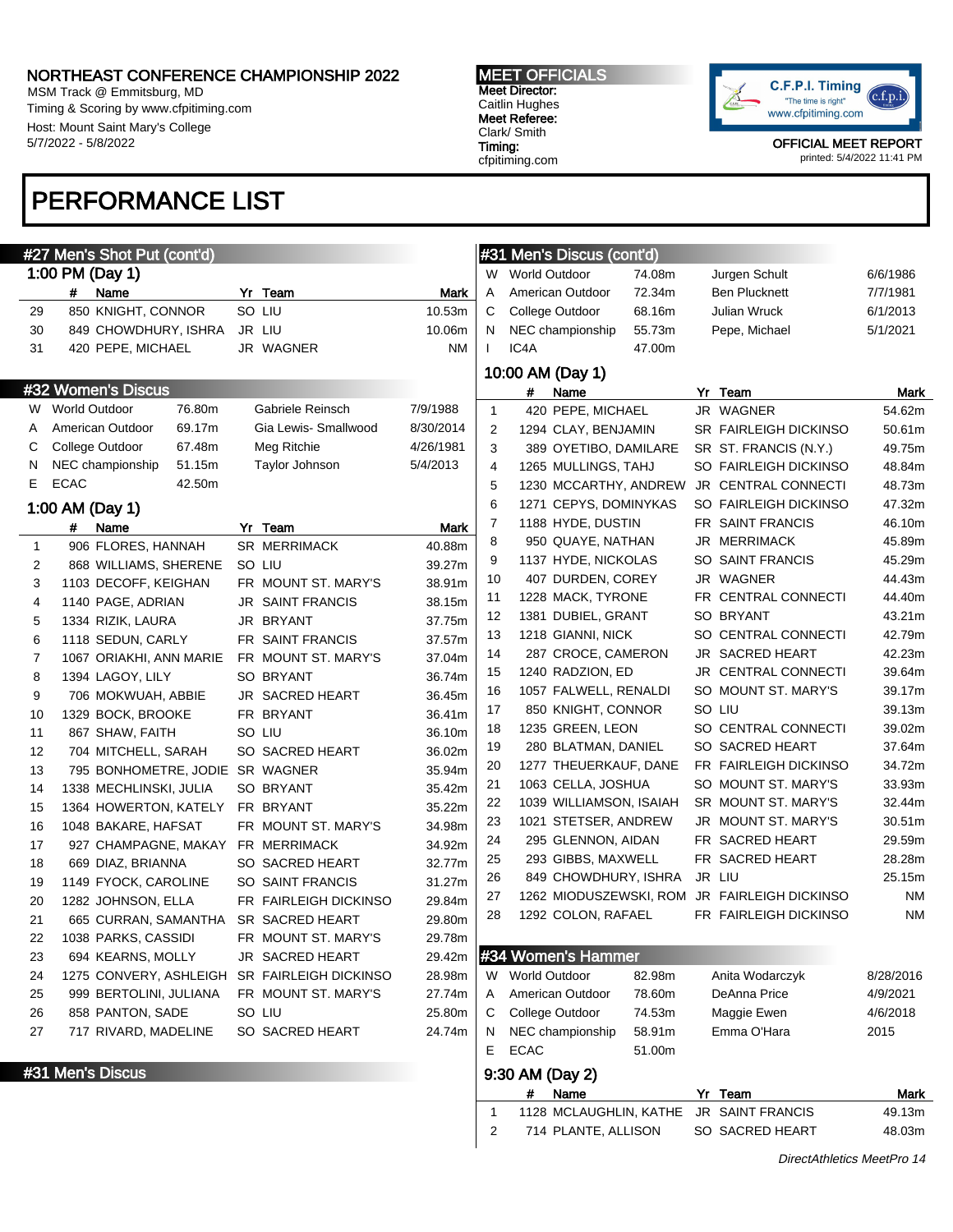# Name Yr Team Mark 29 850 KNIGHT, CONNOR SO LIU 10.53m 30 849 CHOWDHURY, ISHRA JR LIU 10.06m 31 420 PEPE, MICHAEL JR WAGNER NM

# Name Yr Team Mark 1 906 FLORES, HANNAH SR MERRIMACK 40.88m 868 WILLIAMS, SHERENE SO LIU 39.27m 1103 DECOFF, KEIGHAN FR MOUNT ST. MARY'S 38.91m 1140 PAGE, ADRIAN JR SAINT FRANCIS 38.15m 1334 RIZIK, LAURA JR BRYANT 37.75m 1118 SEDUN, CARLY FR SAINT FRANCIS 37.57m 7 1067 ORIAKHI, ANN MARIE FR MOUNT ST. MARY'S 37.04m 8 1394 LAGOY, LILY SO BRYANT 36.74m 9 706 MOKWUAH, ABBIE JR SACRED HEART 36.45m 10 1329 BOCK, BROOKE FR BRYANT 36.41m 11 867 SHAW, FAITH SO LIU 36.10m 12 704 MITCHELL, SARAH SO SACRED HEART 36.02m 795 BONHOMETRE, JODIE SR WAGNER 35.94m 14 1338 MECHLINSKI, JULIA SO BRYANT 35.42m 1364 HOWERTON, KATELY FR BRYANT 35.22m 1048 BAKARE, HAFSAT FR MOUNT ST. MARY'S 34.98m 927 CHAMPAGNE, MAKAY FR MERRIMACK 34.92m 18 669 DIAZ, BRIANNA SO SACRED HEART 32.77m 1149 FYOCK, CAROLINE SO SAINT FRANCIS 31.27m 20 1282 JOHNSON, ELLA FR FAIRLEIGH DICKINSO 29.84m 665 CURRAN, SAMANTHA SR SACRED HEART 29.80m 1038 PARKS, CASSIDI FR MOUNT ST. MARY'S 29.78m 694 KEARNS, MOLLY JR SACRED HEART 29.42m 1275 CONVERY, ASHLEIGH SR FAIRLEIGH DICKINSO 28.98m 999 BERTOLINI, JULIANA FR MOUNT ST. MARY'S 27.74m 858 PANTON, SADE SO LIU 25.80m 717 RIVARD, MADELINE SO SACRED HEART 24.74m

W World Outdoor 76.80m Gabriele Reinsch 7/9/1988 A American Outdoor 69.17m Gia Lewis- Smallwood 8/30/2014 C College Outdoor 67.48m Meg Ritchie 4/26/1981 N NEC championship 51.15m Taylor Johnson 5/4/2013

MSM Track @ Emmitsburg, MD Timing & Scoring by www.cfpitiming.com Host: Mount Saint Mary's College 5/7/2022 - 5/8/2022

#27 Men's Shot Put (cont'd)

1:00 PM (Day 1)

#32 Women's Discus

1:00 AM (Day 1)

E ECAC 42.50m

# PERFORMANCE LIST

# MEET OFFICIALS

Meet Director: Caitlin Hughes Meet Referee: Clark/ Smith Timing: cfpitiming.com



OFFICIAL MEET REPORT printed: 5/4/2022 11:41 PM

# #31 Men's Discus (cont'd) W World Outdoor 74.08m Jurgen Schult 6/6/1986 A American Outdoor 72.34m Ben Plucknett 7/7/1981 C College Outdoor 68.16m Julian Wruck 6/1/2013 N NEC championship 55.73m Pepe, Michael 5/1/2021 I IC4A 47.00m 10:00 AM (Day 1)

|                |   | 10:00 AM (Day 1)        |    |                              |           |
|----------------|---|-------------------------|----|------------------------------|-----------|
|                | # | Name                    |    | Yr Team                      | Mark      |
| 1              |   | 420 PEPE, MICHAEL       |    | JR WAGNER                    | 54.62m    |
| 2              |   | 1294 CLAY, BENJAMIN     |    | <b>SR FAIRLEIGH DICKINSO</b> | 50.61m    |
| 3              |   | 389 OYETIBO, DAMILARE   |    | SR ST. FRANCIS (N.Y.)        | 49.75m    |
| 4              |   | 1265 MULLINGS, TAHJ     |    | SO FAIRLEIGH DICKINSO        | 48.84m    |
| 5              |   | 1230 MCCARTHY, ANDREW   |    | <b>JR CENTRAL CONNECTI</b>   | 48.73m    |
| 6              |   | 1271 CEPYS, DOMINYKAS   |    | SO FAIRLEIGH DICKINSO        | 47.32m    |
| $\overline{7}$ |   | 1188 HYDE, DUSTIN       |    | FR SAINT FRANCIS             | 46.10m    |
| 8              |   | 950 QUAYE, NATHAN       |    | <b>JR MERRIMACK</b>          | 45.89m    |
| 9              |   | 1137 HYDE, NICKOLAS     |    | SO SAINT FRANCIS             | 45.29m    |
| 10             |   | 407 DURDEN, COREY       |    | JR WAGNER                    | 44.43m    |
| 11             |   | 1228 MACK, TYRONE       |    | FR CENTRAL CONNECTI          | 44.40m    |
| 12             |   | 1381 DUBIEL, GRANT      |    | SO BRYANT                    | 43.21m    |
| 13             |   | 1218 GIANNI, NICK       |    | SO CENTRAL CONNECTI          | 42.79m    |
| 14             |   | 287 CROCE, CAMERON      |    | JR SACRED HEART              | 42.23m    |
| 15             |   | 1240 RADZION, ED        | JR | <b>CENTRAL CONNECTI</b>      | 39.64m    |
| 16             |   | 1057 FALWELL, RENALDI   |    | SO MOUNT ST. MARY'S          | 39.17m    |
| 17             |   | 850 KNIGHT, CONNOR      |    | SO LIU                       | 39.13m    |
| 18             |   | 1235 GREEN, LEON        |    | SO CENTRAL CONNECTI          | 39.02m    |
| 19             |   | 280 BLATMAN, DANIEL     |    | SO SACRED HEART              | 37.64m    |
| 20             |   | 1277 THEUERKAUF, DANE   |    | FR FAIRLEIGH DICKINSO        | 34.72m    |
| 21             |   | 1063 CELLA, JOSHUA      |    | SO MOUNT ST. MARY'S          | 33.93m    |
| 22             |   | 1039 WILLIAMSON, ISAIAH |    | SR MOUNT ST. MARY'S          | 32.44m    |
| 23             |   | 1021 STETSER, ANDREW    | JR | <b>MOUNT ST. MARY'S</b>      | 30.51m    |
| 24             |   | 295 GLENNON, AIDAN      |    | FR SACRED HEART              | 29.59m    |
| 25             |   | 293 GIBBS, MAXWELL      |    | FR SACRED HEART              | 28.28m    |
| 26             |   | 849 CHOWDHURY, ISHRA    |    | JR LIU                       | 25.15m    |
| 27             |   | 1262 MIODUSZEWSKI, ROM  |    | JR FAIRLEIGH DICKINSO        | <b>NM</b> |
| 28             |   | 1292 COLON, RAFAEL      |    | FR FAIRLEIGH DICKINSO        | <b>NM</b> |
|                |   |                         |    |                              |           |
|                |   | #34 Women's Hammer      |    |                              |           |

| W               | <b>World Outdoor</b>   | 82.98m | Anita Wodarczyk | 8/28/2016 |  |  |  |
|-----------------|------------------------|--------|-----------------|-----------|--|--|--|
| A               | American Outdoor       | 78.60m | DeAnna Price    | 4/9/2021  |  |  |  |
| IC.             | <b>College Outdoor</b> | 74.53m | Maggie Ewen     | 4/6/2018  |  |  |  |
| IN.             | NEC championship       | 58.91m | Emma O'Hara     | 2015      |  |  |  |
| F.              | ECAC                   | 51.00m |                 |           |  |  |  |
| 9:30 AM (Day 2) |                        |        |                 |           |  |  |  |

# # Name Yr Team Mark 1 1128 MCLAUGHLIN, KATHE JR SAINT FRANCIS 49.13m 2 714 PLANTE, ALLISON SO SACRED HEART 48.03m

**#31 Men's Discus**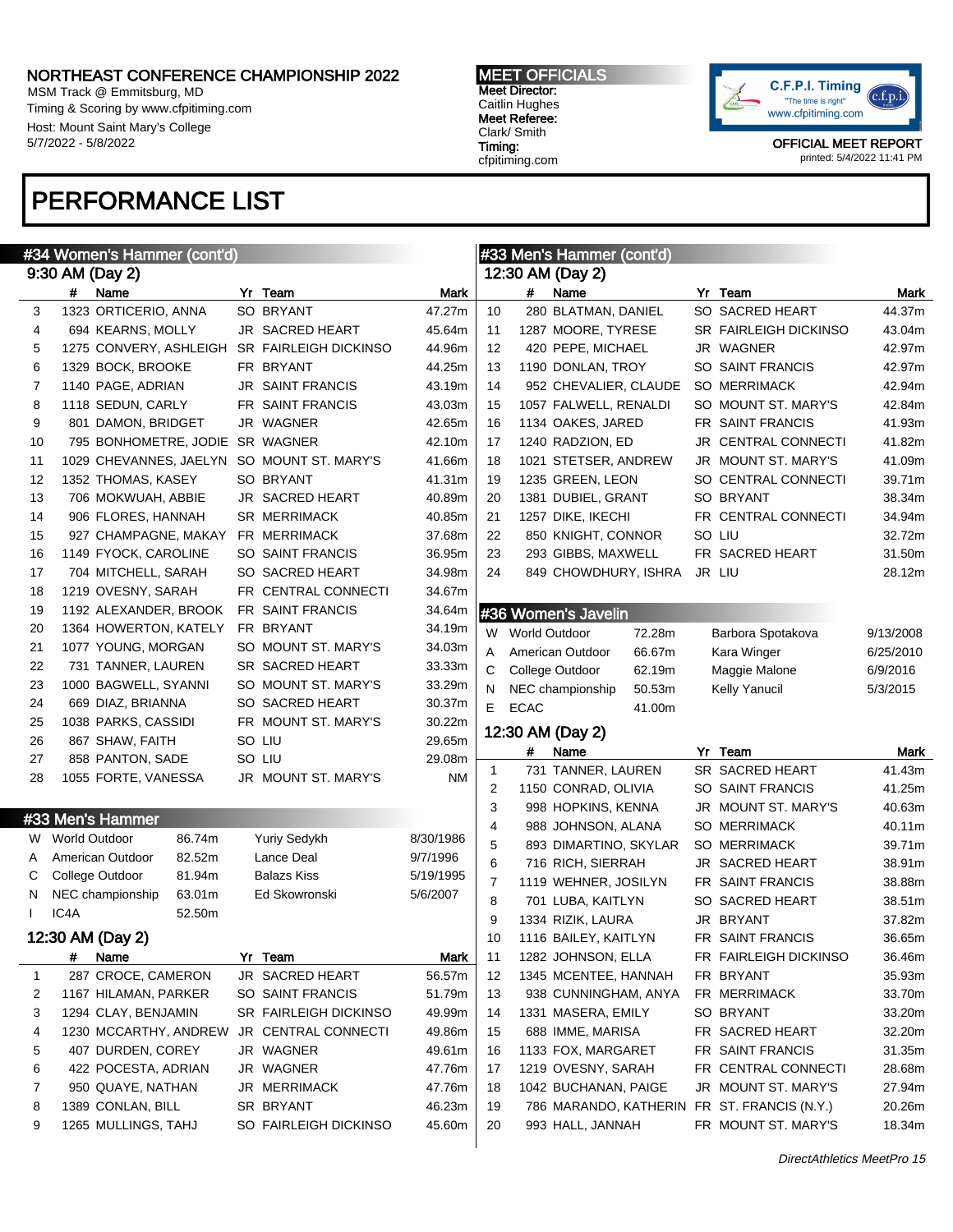MSM Track @ Emmitsburg, MD Timing & Scoring by www.cfpitiming.com Host: Mount Saint Mary's College 5/7/2022 - 5/8/2022

# PERFORMANCE LIST

MEET OFFICIALS Meet Director: Caitlin Hughes Meet Referee: Clark/ Smith Timing: cfpitiming.com



OFFICIAL MEET REPORT printed: 5/4/2022 11:41 PM

|              | #34 Women's Hammer (cont'd) |  |                              |           |                | #33 Men's Hammer (cont'd) |                                             |  |                       |           |
|--------------|-----------------------------|--|------------------------------|-----------|----------------|---------------------------|---------------------------------------------|--|-----------------------|-----------|
|              | 9:30 AM (Day 2)             |  |                              |           |                |                           | 12:30 AM (Day 2)                            |  |                       |           |
|              | $\#$<br>Name                |  | Yr Team                      | Mark      |                | #                         | Name                                        |  | Yr Team               | Mark      |
| 3            | 1323 ORTICERIO, ANNA        |  | SO BRYANT                    | 47.27m    | 10             |                           | 280 BLATMAN, DANIEL                         |  | SO SACRED HEART       | 44.37m    |
| 4            | 694 KEARNS, MOLLY           |  | JR SACRED HEART              | 45.64m    | 11             |                           | 1287 MOORE, TYRESE                          |  | SR FAIRLEIGH DICKINSO | 43.04m    |
| 5            | 1275 CONVERY, ASHLEIGH      |  | <b>SR FAIRLEIGH DICKINSO</b> | 44.96m    | 12             |                           | 420 PEPE, MICHAEL                           |  | JR WAGNER             | 42.97m    |
| 6            | 1329 BOCK, BROOKE           |  | FR BRYANT                    | 44.25m    | 13             |                           | 1190 DONLAN, TROY                           |  | SO SAINT FRANCIS      | 42.97m    |
| 7            | 1140 PAGE, ADRIAN           |  | <b>JR SAINT FRANCIS</b>      | 43.19m    | 14             |                           | 952 CHEVALIER, CLAUDE                       |  | <b>SO MERRIMACK</b>   | 42.94m    |
| 8            | 1118 SEDUN, CARLY           |  | FR SAINT FRANCIS             | 43.03m    | 15             |                           | 1057 FALWELL, RENALDI                       |  | SO MOUNT ST. MARY'S   | 42.84m    |
| 9            | 801 DAMON, BRIDGET          |  | JR WAGNER                    | 42.65m    | 16             |                           | 1134 OAKES, JARED                           |  | FR SAINT FRANCIS      | 41.93m    |
| 10           | 795 BONHOMETRE, JODIE       |  | SR WAGNER                    | 42.10m    | 17             |                           | 1240 RADZION, ED                            |  | JR CENTRAL CONNECTI   | 41.82m    |
| 11           | 1029 CHEVANNES, JAELYN      |  | SO MOUNT ST. MARY'S          | 41.66m    | 18             |                           | 1021 STETSER, ANDREW                        |  | JR MOUNT ST. MARY'S   | 41.09m    |
| 12           | 1352 THOMAS, KASEY          |  | SO BRYANT                    | 41.31m    | 19             |                           | 1235 GREEN, LEON                            |  | SO CENTRAL CONNECTI   | 39.71m    |
| 13           | 706 MOKWUAH, ABBIE          |  | <b>JR SACRED HEART</b>       | 40.89m    | 20             |                           | 1381 DUBIEL, GRANT                          |  | SO BRYANT             | 38.34m    |
| 14           | 906 FLORES, HANNAH          |  | <b>SR MERRIMACK</b>          | 40.85m    | 21             |                           | 1257 DIKE, IKECHI                           |  | FR CENTRAL CONNECTI   | 34.94m    |
| 15           | 927 CHAMPAGNE, MAKAY        |  | FR MERRIMACK                 | 37.68m    | 22             |                           | 850 KNIGHT, CONNOR                          |  | SO LIU                | 32.72m    |
| 16           |                             |  | <b>SO SAINT FRANCIS</b>      |           | 23             |                           | 293 GIBBS, MAXWELL                          |  | FR SACRED HEART       | 31.50m    |
| 17           | 1149 FYOCK, CAROLINE        |  | SO SACRED HEART              | 36.95m    | 24             |                           | 849 CHOWDHURY, ISHRA                        |  | JR LIU                |           |
|              | 704 MITCHELL, SARAH         |  |                              | 34.98m    |                |                           |                                             |  |                       | 28.12m    |
| 18           | 1219 OVESNY, SARAH          |  | FR CENTRAL CONNECTI          | 34.67m    |                |                           |                                             |  |                       |           |
| 19           | 1192 ALEXANDER, BROOK       |  | FR SAINT FRANCIS             | 34.64m    |                |                           | #36 Women's Javelin                         |  |                       |           |
| 20           | 1364 HOWERTON, KATELY       |  | FR BRYANT                    | 34.19m    |                | W World Outdoor           | 72.28m                                      |  | Barbora Spotakova     | 9/13/2008 |
| 21           | 1077 YOUNG, MORGAN          |  | SO MOUNT ST. MARY'S          | 34.03m    | Α              |                           | American Outdoor<br>66.67m                  |  | Kara Winger           | 6/25/2010 |
| 22           | 731 TANNER, LAUREN          |  | SR SACRED HEART              | 33.33m    | С              |                           | College Outdoor<br>62.19m                   |  | Maggie Malone         | 6/9/2016  |
| 23           | 1000 BAGWELL, SYANNI        |  | SO MOUNT ST. MARY'S          | 33.29m    | N              |                           | 50.53m<br>NEC championship                  |  | Kelly Yanucil         | 5/3/2015  |
| 24           | 669 DIAZ, BRIANNA           |  | SO SACRED HEART              | 30.37m    | E.             | <b>ECAC</b>               | 41.00m                                      |  |                       |           |
| 25           | 1038 PARKS, CASSIDI         |  | FR MOUNT ST. MARY'S          | 30.22m    |                |                           |                                             |  |                       |           |
|              |                             |  |                              |           |                |                           |                                             |  |                       |           |
| 26           | 867 SHAW, FAITH             |  | SO LIU                       | 29.65m    |                |                           | 12:30 AM (Day 2)                            |  |                       |           |
| 27           | 858 PANTON, SADE            |  | SO LIU                       | 29.08m    |                | #                         | Name                                        |  | Yr Team               | Mark      |
| 28           | 1055 FORTE, VANESSA         |  | JR MOUNT ST. MARY'S          | ΝM        | 1              |                           | 731 TANNER, LAUREN                          |  | SR SACRED HEART       | 41.43m    |
|              |                             |  |                              |           | 2              |                           | 1150 CONRAD, OLIVIA                         |  | SO SAINT FRANCIS      | 41.25m    |
|              | #33 Men's Hammer            |  |                              |           | 3              |                           | 998 HOPKINS, KENNA                          |  | JR MOUNT ST. MARY'S   | 40.63m    |
|              | W World Outdoor<br>86.74m   |  | <b>Yuriy Sedykh</b>          | 8/30/1986 | 4              |                           | 988 JOHNSON, ALANA                          |  | SO MERRIMACK          | 40.11m    |
| A            | 82.52m<br>American Outdoor  |  | Lance Deal                   | 9/7/1996  | 5              |                           | 893 DIMARTINO, SKYLAR                       |  | <b>SO MERRIMACK</b>   | 39.71m    |
| С            | College Outdoor<br>81.94m   |  | <b>Balazs Kiss</b>           | 5/19/1995 | 6              |                           | 716 RICH, SIERRAH                           |  | JR SACRED HEART       | 38.91m    |
| N            | NEC championship<br>63.01m  |  | Ed Skowronski                | 5/6/2007  | $\overline{7}$ |                           | 1119 WEHNER, JOSILYN                        |  | FR SAINT FRANCIS      | 38.88m    |
|              | IC4A<br>52.50m              |  |                              |           | 8              |                           | 701 LUBA, KAITLYN                           |  | SO SACRED HEART       | 38.51m    |
|              |                             |  |                              |           | 9              |                           | 1334 RIZIK, LAURA                           |  | JR BRYANT             | 37.82m    |
|              | 12:30 AM (Day 2)            |  |                              |           | 10             |                           | 1116 BAILEY, KAITLYN                        |  | FR SAINT FRANCIS      | 36.65m    |
|              | #<br>Name                   |  | Yr Team                      | Mark      | 11             |                           | 1282 JOHNSON, ELLA                          |  | FR FAIRLEIGH DICKINSO | 36.46m    |
| $\mathbf{1}$ | 287 CROCE, CAMERON          |  | JR SACRED HEART              | 56.57m    | 12             |                           | 1345 MCENTEE, HANNAH                        |  | FR BRYANT             | 35.93m    |
| 2            | 1167 HILAMAN, PARKER        |  | SO SAINT FRANCIS             | 51.79m    | 13             |                           | 938 CUNNINGHAM, ANYA                        |  | FR MERRIMACK          | 33.70m    |
| 3            | 1294 CLAY, BENJAMIN         |  | SR FAIRLEIGH DICKINSO        | 49.99m    | 14             |                           | 1331 MASERA, EMILY                          |  | SO BRYANT             | 33.20m    |
| 4            | 1230 MCCARTHY, ANDREW       |  | JR CENTRAL CONNECTI          | 49.86m    | 15             |                           | 688 IMME, MARISA                            |  | FR SACRED HEART       | 32.20m    |
| 5            | 407 DURDEN, COREY           |  | JR WAGNER                    | 49.61m    | 16             |                           | 1133 FOX, MARGARET                          |  | FR SAINT FRANCIS      | 31.35m    |
| 6            | 422 POCESTA, ADRIAN         |  | JR WAGNER                    | 47.76m    | 17             |                           | 1219 OVESNY, SARAH                          |  | FR CENTRAL CONNECTI   | 28.68m    |
| 7            | 950 QUAYE, NATHAN           |  | JR MERRIMACK                 | 47.76m    | 18             |                           | 1042 BUCHANAN, PAIGE                        |  | JR MOUNT ST. MARY'S   | 27.94m    |
| 8            | 1389 CONLAN, BILL           |  | SR BRYANT                    | 46.23m    | 19             |                           | 786 MARANDO, KATHERIN FR ST. FRANCIS (N.Y.) |  |                       | 20.26m    |
| 9            | 1265 MULLINGS, TAHJ         |  | SO FAIRLEIGH DICKINSO        | 45.60m    | 20             |                           | 993 HALL, JANNAH                            |  | FR MOUNT ST. MARY'S   | 18.34m    |